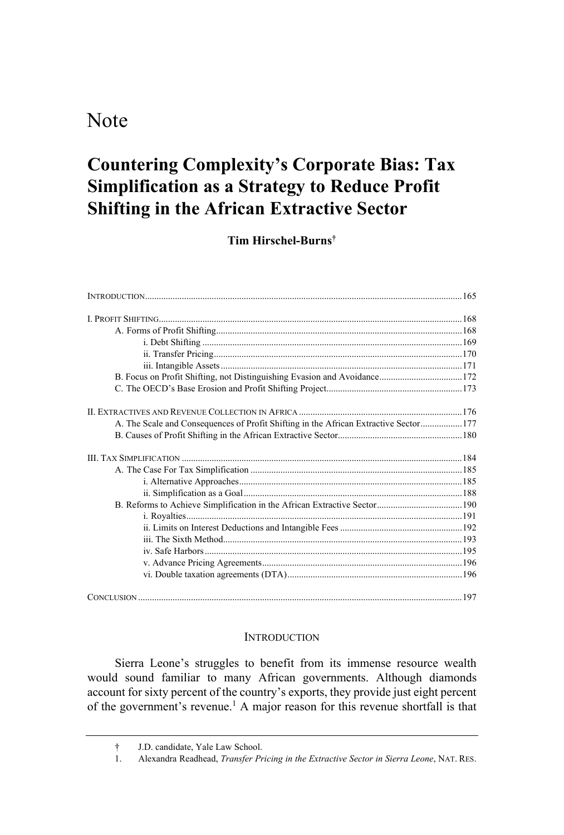## Note

# Countering Complexity's Corporate Bias: Tax Simplification as a Strategy to Reduce Profit Shifting in the African Extractive Sector

Tim Hirschel-Burns

| B. Focus on Profit Shifting, not Distinguishing Evasion and Avoidance172             |  |
|--------------------------------------------------------------------------------------|--|
|                                                                                      |  |
|                                                                                      |  |
| A. The Scale and Consequences of Profit Shifting in the African Extractive Sector177 |  |
|                                                                                      |  |
|                                                                                      |  |
|                                                                                      |  |
|                                                                                      |  |
|                                                                                      |  |
|                                                                                      |  |
|                                                                                      |  |
|                                                                                      |  |
|                                                                                      |  |
|                                                                                      |  |
|                                                                                      |  |
|                                                                                      |  |
|                                                                                      |  |

#### INTRODUCTION

Sierra Leone's struggles to benefit from its immense resource wealth would sound familiar to many African governments. Although diamonds account for sixty percent of the country's exports, they provide just eight percent of the government's revenue.<sup>1</sup> A major reason for this revenue shortfall is that

J.D. candidate, Yale Law School.

<sup>1.</sup> Alexandra Readhead, Transfer Pricing in the Extractive Sector in Sierra Leone, NAT. RES.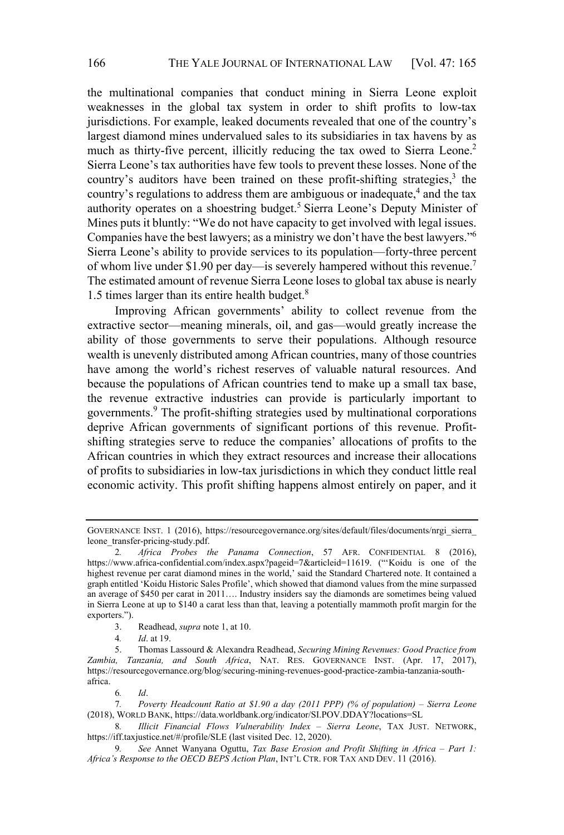the multinational companies that conduct mining in Sierra Leone exploit weaknesses in the global tax system in order to shift profits to low-tax jurisdictions. For example, leaked documents revealed that one of the country's largest diamond mines undervalued sales to its subsidiaries in tax havens by as much as thirty-five percent, illicitly reducing the tax owed to Sierra Leone.<sup>2</sup> Sierra Leone's tax authorities have few tools to prevent these losses. None of the country's auditors have been trained on these profit-shifting strategies, $3$  the country's regulations to address them are ambiguous or inadequate,<sup>4</sup> and the tax authority operates on a shoestring budget.<sup>5</sup> Sierra Leone's Deputy Minister of Mines puts it bluntly: "We do not have capacity to get involved with legal issues. Companies have the best lawyers; as a ministry we don't have the best lawyers."<sup>6</sup> Sierra Leone's ability to provide services to its population—forty-three percent of whom live under \$1.90 per day—is severely hampered without this revenue.<sup>7</sup> The estimated amount of revenue Sierra Leone loses to global tax abuse is nearly 1.5 times larger than its entire health budget.<sup>8</sup>

Improving African governments' ability to collect revenue from the extractive sector—meaning minerals, oil, and gas—would greatly increase the ability of those governments to serve their populations. Although resource wealth is unevenly distributed among African countries, many of those countries have among the world's richest reserves of valuable natural resources. And because the populations of African countries tend to make up a small tax base, the revenue extractive industries can provide is particularly important to governments.9 The profit-shifting strategies used by multinational corporations deprive African governments of significant portions of this revenue. Profitshifting strategies serve to reduce the companies' allocations of profits to the African countries in which they extract resources and increase their allocations of profits to subsidiaries in low-tax jurisdictions in which they conduct little real economic activity. This profit shifting happens almost entirely on paper, and it

GOVERNANCE INST. 1 (2016), https://resourcegovernance.org/sites/default/files/documents/nrgi\_sierra\_ leone\_transfer-pricing-study.pdf.

<sup>2</sup>. Africa Probes the Panama Connection, 57 AFR. CONFIDENTIAL 8 (2016), https://www.africa-confidential.com/index.aspx?pageid=7&articleid=11619. ("Koidu is one of the highest revenue per carat diamond mines in the world,' said the Standard Chartered note. It contained a graph entitled 'Koidu Historic Sales Profile', which showed that diamond values from the mine surpassed an average of \$450 per carat in 2011. Industry insiders say the diamonds are sometimes being valued in Sierra Leone at up to \$140 a carat less than that, leaving a potentially mammoth profit margin for the exporters.").

<sup>3.</sup> Readhead, supra note 1, at 10.

<sup>4</sup>. Id. at 19.

<sup>5.</sup> Thomas Lassourd & Alexandra Readhead, Securing Mining Revenues: Good Practice from Zambia, Tanzania, and South Africa, NAT. RES. GOVERNANCE INST. (Apr. 17, 2017), https://resourcegovernance.org/blog/securing-mining-revenues-good-practice-zambia-tanzania-southafrica.

<sup>6</sup>. Id.

<sup>7</sup>. Poverty Headcount Ratio at \$1.90 a day (2011 PPP) (% of population) Sierra Leone (2018), WORLD BANK, https://data.worldbank.org/indicator/SI.POV.DDAY?locations=SL

<sup>8.</sup> Illicit Financial Flows Vulnerability Index - Sierra Leone, TAX JUST. NETWORK, https://iff.taxjustice.net/#/profile/SLE (last visited Dec. 12, 2020).

<sup>9.</sup> See Annet Wanyana Oguttu, Tax Base Erosion and Profit Shifting in Africa – Part 1: Africa's Response to the OECD BEPS Action Plan, INT'L CTR. FOR TAX AND DEV. 11 (2016).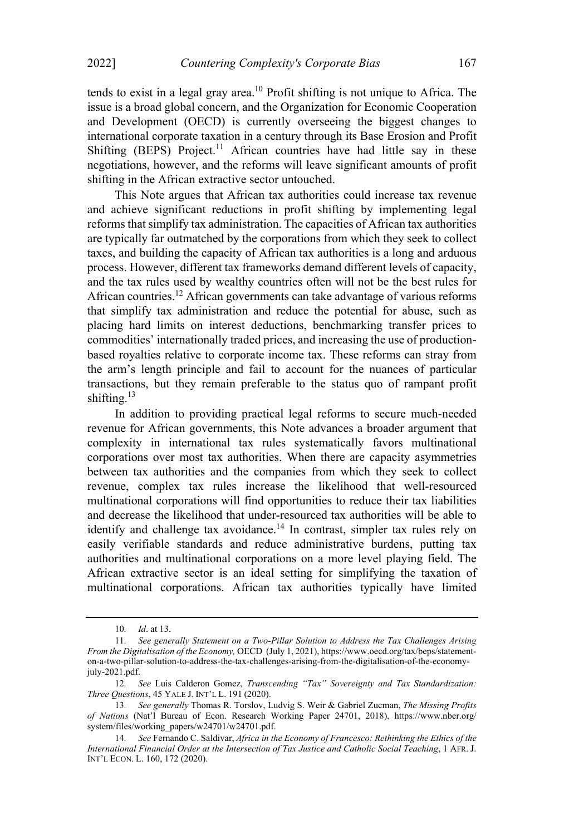tends to exist in a legal gray area.<sup>10</sup> Profit shifting is not unique to Africa. The issue is a broad global concern, and the Organization for Economic Cooperation and Development (OECD) is currently overseeing the biggest changes to international corporate taxation in a century through its Base Erosion and Profit Shifting  $(BEPS)$  Project.<sup>11</sup> African countries have had little say in these negotiations, however, and the reforms will leave significant amounts of profit shifting in the African extractive sector untouched.

This Note argues that African tax authorities could increase tax revenue and achieve significant reductions in profit shifting by implementing legal reforms that simplify tax administration. The capacities of African tax authorities are typically far outmatched by the corporations from which they seek to collect taxes, and building the capacity of African tax authorities is a long and arduous process. However, different tax frameworks demand different levels of capacity, and the tax rules used by wealthy countries often will not be the best rules for African countries.<sup>12</sup> African governments can take advantage of various reforms that simplify tax administration and reduce the potential for abuse, such as placing hard limits on interest deductions, benchmarking transfer prices to commodities' internationally traded prices, and increasing the use of productionbased royalties relative to corporate income tax. These reforms can stray from the arm's length principle and fail to account for the nuances of particular transactions, but they remain preferable to the status quo of rampant profit shifting.<sup>13</sup>

In addition to providing practical legal reforms to secure much-needed revenue for African governments, this Note advances a broader argument that complexity in international tax rules systematically favors multinational corporations over most tax authorities. When there are capacity asymmetries between tax authorities and the companies from which they seek to collect revenue, complex tax rules increase the likelihood that well-resourced multinational corporations will find opportunities to reduce their tax liabilities and decrease the likelihood that under-resourced tax authorities will be able to identify and challenge tax avoidance.<sup>14</sup> In contrast, simpler tax rules rely on easily verifiable standards and reduce administrative burdens, putting tax authorities and multinational corporations on a more level playing field. The African extractive sector is an ideal setting for simplifying the taxation of multinational corporations. African tax authorities typically have limited

<sup>10</sup>. Id. at 13.

<sup>11</sup>. See generally Statement on a Two-Pillar Solution to Address the Tax Challenges Arising From the Digitalisation of the Economy, OECD (July 1, 2021), https://www.oecd.org/tax/beps/statementon-a-two-pillar-solution-to-address-the-tax-challenges-arising-from-the-digitalisation-of-the-economyjuly-2021.pdf.

<sup>12.</sup> See Luis Calderon Gomez, Transcending "Tax" Sovereignty and Tax Standardization: Three Questions, 45 YALE J. INT'L L. 191 (2020).

<sup>13.</sup> See generally Thomas R. Torslov, Ludvig S. Weir & Gabriel Zucman, The Missing Profits of Nations (Natl Bureau of Econ. Research Working Paper 24701, 2018), https://www.nber.org/ system/files/working\_papers/w24701/w24701.pdf.

<sup>14</sup>. See Fernando C. Saldivar, Africa in the Economy of Francesco: Rethinking the Ethics of the International Financial Order at the Intersection of Tax Justice and Catholic Social Teaching, 1 AFR. J. INT'L ECON. L. 160, 172 (2020).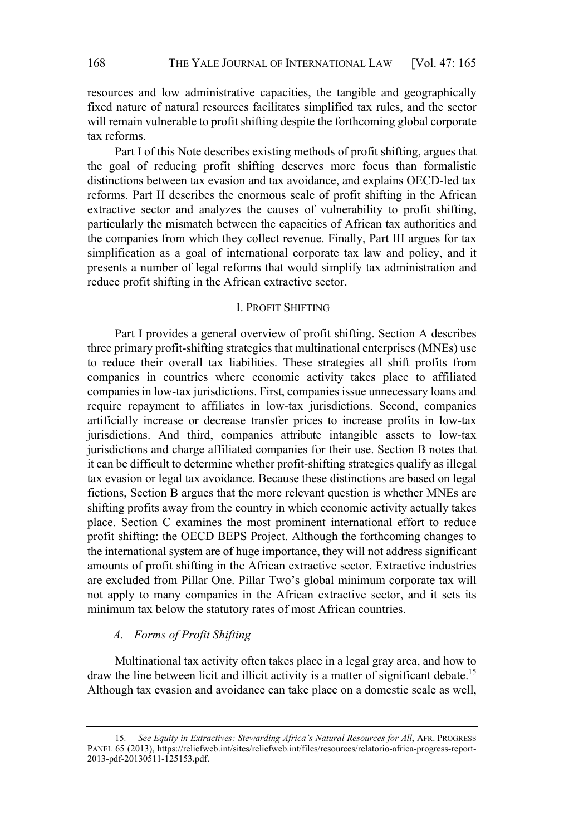resources and low administrative capacities, the tangible and geographically fixed nature of natural resources facilitates simplified tax rules, and the sector will remain vulnerable to profit shifting despite the forthcoming global corporate tax reforms.

Part I of this Note describes existing methods of profit shifting, argues that the goal of reducing profit shifting deserves more focus than formalistic distinctions between tax evasion and tax avoidance, and explains OECD-led tax reforms. Part II describes the enormous scale of profit shifting in the African extractive sector and analyzes the causes of vulnerability to profit shifting, particularly the mismatch between the capacities of African tax authorities and the companies from which they collect revenue. Finally, Part III argues for tax simplification as a goal of international corporate tax law and policy, and it presents a number of legal reforms that would simplify tax administration and reduce profit shifting in the African extractive sector.

## I. PROFIT SHIFTING

Part I provides a general overview of profit shifting. Section A describes three primary profit-shifting strategies that multinational enterprises (MNEs) use to reduce their overall tax liabilities. These strategies all shift profits from companies in countries where economic activity takes place to affiliated companies in low-tax jurisdictions. First, companies issue unnecessary loans and require repayment to affiliates in low-tax jurisdictions. Second, companies artificially increase or decrease transfer prices to increase profits in low-tax jurisdictions. And third, companies attribute intangible assets to low-tax jurisdictions and charge affiliated companies for their use. Section B notes that it can be difficult to determine whether profit-shifting strategies qualify as illegal tax evasion or legal tax avoidance. Because these distinctions are based on legal fictions, Section B argues that the more relevant question is whether MNEs are shifting profits away from the country in which economic activity actually takes place. Section C examines the most prominent international effort to reduce profit shifting: the OECD BEPS Project. Although the forthcoming changes to the international system are of huge importance, they will not address significant amounts of profit shifting in the African extractive sector. Extractive industries are excluded from Pillar One. Pillar Two's global minimum corporate tax will not apply to many companies in the African extractive sector, and it sets its minimum tax below the statutory rates of most African countries.

#### A. Forms of Profit Shifting

Multinational tax activity often takes place in a legal gray area, and how to draw the line between licit and illicit activity is a matter of significant debate.<sup>15</sup> Although tax evasion and avoidance can take place on a domestic scale as well,

<sup>15.</sup> See Equity in Extractives: Stewarding Africa's Natural Resources for All, AFR. PROGRESS PANEL 65 (2013), https://reliefweb.int/sites/reliefweb.int/files/resources/relatorio-africa-progress-report-2013-pdf-20130511-125153.pdf.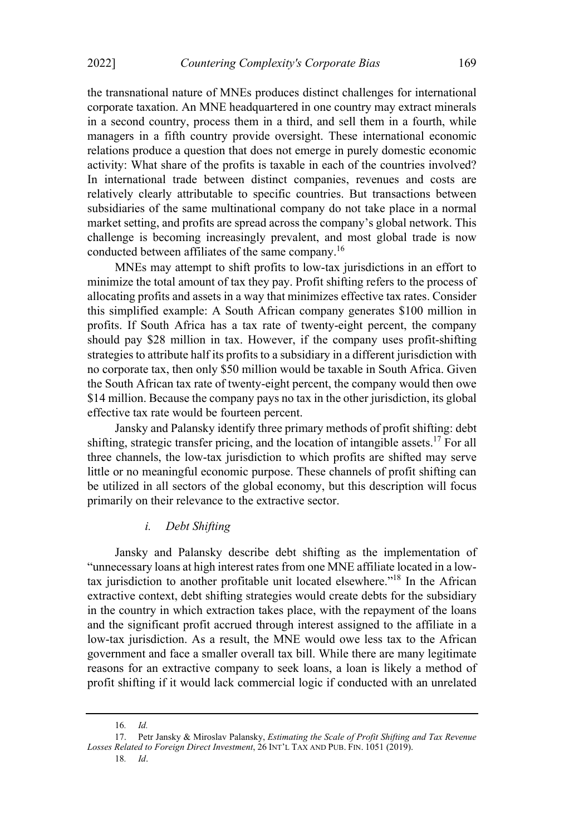the transnational nature of MNEs produces distinct challenges for international corporate taxation. An MNE headquartered in one country may extract minerals in a second country, process them in a third, and sell them in a fourth, while managers in a fifth country provide oversight. These international economic relations produce a question that does not emerge in purely domestic economic activity: What share of the profits is taxable in each of the countries involved? In international trade between distinct companies, revenues and costs are relatively clearly attributable to specific countries. But transactions between subsidiaries of the same multinational company do not take place in a normal market setting, and profits are spread across the company's global network. This challenge is becoming increasingly prevalent, and most global trade is now conducted between affiliates of the same company.16

MNEs may attempt to shift profits to low-tax jurisdictions in an effort to minimize the total amount of tax they pay. Profit shifting refers to the process of allocating profits and assets in a way that minimizes effective tax rates. Consider this simplified example: A South African company generates \$100 million in profits. If South Africa has a tax rate of twenty-eight percent, the company should pay \$28 million in tax. However, if the company uses profit-shifting strategies to attribute half its profits to a subsidiary in a different jurisdiction with no corporate tax, then only \$50 million would be taxable in South Africa. Given the South African tax rate of twenty-eight percent, the company would then owe \$14 million. Because the company pays no tax in the other jurisdiction, its global effective tax rate would be fourteen percent.

Jansky and Palansky identify three primary methods of profit shifting: debt shifting, strategic transfer pricing, and the location of intangible assets.<sup>17</sup> For all three channels, the low-tax jurisdiction to which profits are shifted may serve little or no meaningful economic purpose. These channels of profit shifting can be utilized in all sectors of the global economy, but this description will focus primarily on their relevance to the extractive sector.

## i. Debt Shifting

Jansky and Palansky describe debt shifting as the implementation of unnecessary loans at high interest rates from one MNE affiliate located in a lowtax jurisdiction to another profitable unit located elsewhere."<sup>18</sup> In the African extractive context, debt shifting strategies would create debts for the subsidiary in the country in which extraction takes place, with the repayment of the loans and the significant profit accrued through interest assigned to the affiliate in a low-tax jurisdiction. As a result, the MNE would owe less tax to the African government and face a smaller overall tax bill. While there are many legitimate reasons for an extractive company to seek loans, a loan is likely a method of profit shifting if it would lack commercial logic if conducted with an unrelated

<sup>16</sup>. Id.

<sup>17.</sup> Petr Jansky & Miroslav Palansky, Estimating the Scale of Profit Shifting and Tax Revenue Losses Related to Foreign Direct Investment, 26 INT'L TAX AND PUB. FIN. 1051 (2019).

<sup>18</sup>. Id.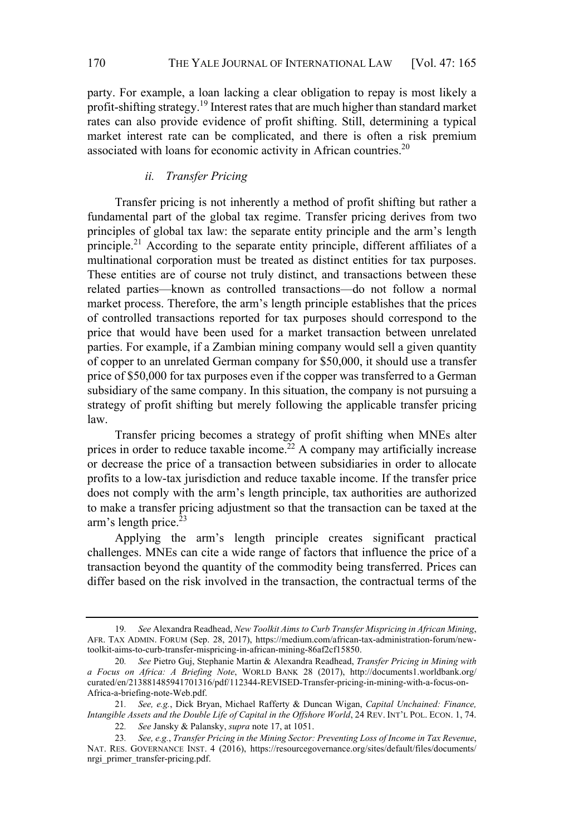party. For example, a loan lacking a clear obligation to repay is most likely a profit-shifting strategy.<sup>19</sup> Interest rates that are much higher than standard market rates can also provide evidence of profit shifting. Still, determining a typical market interest rate can be complicated, and there is often a risk premium associated with loans for economic activity in African countries.<sup>20</sup>

## ii. Transfer Pricing

Transfer pricing is not inherently a method of profit shifting but rather a fundamental part of the global tax regime. Transfer pricing derives from two principles of global tax law: the separate entity principle and the arm's length principle.21 According to the separate entity principle, different affiliates of a multinational corporation must be treated as distinct entities for tax purposes. These entities are of course not truly distinct, and transactions between these related parties-known as controlled transactions-do not follow a normal market process. Therefore, the arm's length principle establishes that the prices of controlled transactions reported for tax purposes should correspond to the price that would have been used for a market transaction between unrelated parties. For example, if a Zambian mining company would sell a given quantity of copper to an unrelated German company for \$50,000, it should use a transfer price of \$50,000 for tax purposes even if the copper was transferred to a German subsidiary of the same company. In this situation, the company is not pursuing a strategy of profit shifting but merely following the applicable transfer pricing law.

Transfer pricing becomes a strategy of profit shifting when MNEs alter prices in order to reduce taxable income.<sup>22</sup> A company may artificially increase or decrease the price of a transaction between subsidiaries in order to allocate profits to a low-tax jurisdiction and reduce taxable income. If the transfer price does not comply with the arm's length principle, tax authorities are authorized to make a transfer pricing adjustment so that the transaction can be taxed at the  $arm's length price.<sup>23</sup>$ 

Applying the arm's length principle creates significant practical challenges. MNEs can cite a wide range of factors that influence the price of a transaction beyond the quantity of the commodity being transferred. Prices can differ based on the risk involved in the transaction, the contractual terms of the

<sup>19</sup>. See Alexandra Readhead, New Toolkit Aims to Curb Transfer Mispricing in African Mining, AFR. TAX ADMIN. FORUM (Sep. 28, 2017), https://medium.com/african-tax-administration-forum/newtoolkit-aims-to-curb-transfer-mispricing-in-african-mining-86af2cf15850.

<sup>20.</sup> See Pietro Guj, Stephanie Martin & Alexandra Readhead, Transfer Pricing in Mining with a Focus on Africa: A Briefing Note, WORLD BANK 28 (2017), http://documents1.worldbank.org/ curated/en/213881485941701316/pdf/112344-REVISED-Transfer-pricing-in-mining-with-a-focus-on-Africa-a-briefing-note-Web.pdf.

<sup>21.</sup> See, e.g., Dick Bryan, Michael Rafferty & Duncan Wigan, Capital Unchained: Finance, Intangible Assets and the Double Life of Capital in the Offshore World, 24 REV. INT'L POL. ECON. 1, 74. 22. See Jansky & Palansky, supra note 17, at 1051.

<sup>23</sup>. See, e.g., Transfer Pricing in the Mining Sector: Preventing Loss of Income in Tax Revenue, NAT. RES. GOVERNANCE INST. 4 (2016), https://resourcegovernance.org/sites/default/files/documents/ nrgi\_primer\_transfer-pricing.pdf.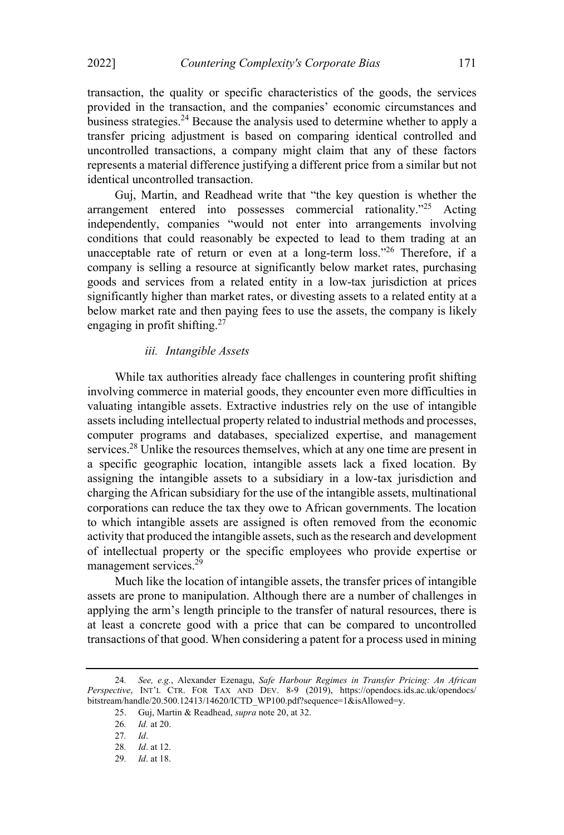transaction, the quality or specific characteristics of the goods, the services provided in the transaction, and the companies' economic circumstances and business strategies.<sup>24</sup> Because the analysis used to determine whether to apply a transfer pricing adjustment is based on comparing identical controlled and uncontrolled transactions, a company might claim that any of these factors represents a material difference justifying a different price from a similar but not identical uncontrolled transaction.

Guj, Martin, and Readhead write that "the key question is whether the arrangement entered into possesses commercial rationality."<sup>25</sup> Acting independently, companies "would not enter into arrangements involving conditions that could reasonably be expected to lead to them trading at an unacceptable rate of return or even at a long-term loss."<sup>26</sup> Therefore, if a company is selling a resource at significantly below market rates, purchasing goods and services from a related entity in a low-tax jurisdiction at prices significantly higher than market rates, or divesting assets to a related entity at a below market rate and then paying fees to use the assets, the company is likely engaging in profit shifting.<sup>27</sup>

## iii. Intangible Assets

While tax authorities already face challenges in countering profit shifting involving commerce in material goods, they encounter even more difficulties in valuating intangible assets. Extractive industries rely on the use of intangible assets including intellectual property related to industrial methods and processes, computer programs and databases, specialized expertise, and management services.<sup>28</sup> Unlike the resources themselves, which at any one time are present in a specific geographic location, intangible assets lack a fixed location. By assigning the intangible assets to a subsidiary in a low-tax jurisdiction and charging the African subsidiary for the use of the intangible assets, multinational corporations can reduce the tax they owe to African governments. The location to which intangible assets are assigned is often removed from the economic activity that produced the intangible assets, such as the research and development of intellectual property or the specific employees who provide expertise or management services.29

Much like the location of intangible assets, the transfer prices of intangible assets are prone to manipulation. Although there are a number of challenges in applying the arm's length principle to the transfer of natural resources, there is at least a concrete good with a price that can be compared to uncontrolled transactions of that good. When considering a patent for a process used in mining

<sup>24.</sup> See, e.g., Alexander Ezenagu, Safe Harbour Regimes in Transfer Pricing: An African Perspective, INT'L CTR. FOR TAX AND DEV. 8-9 (2019), https://opendocs.ids.ac.uk/opendocs/ bitstream/handle/20.500.12413/14620/ICTD\_WP100.pdf?sequence=1&isAllowed=y.

<sup>25.</sup> Guj, Martin & Readhead, supra note 20, at 32.

<sup>26</sup>. Id. at 20.

<sup>27</sup>. Id.

<sup>28</sup>. Id. at 12.

<sup>29</sup>. Id. at 18.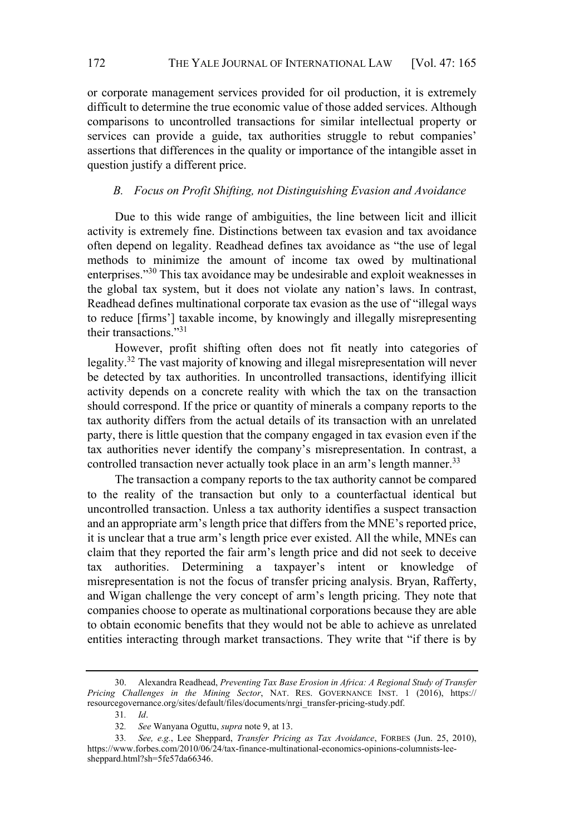or corporate management services provided for oil production, it is extremely difficult to determine the true economic value of those added services. Although comparisons to uncontrolled transactions for similar intellectual property or services can provide a guide, tax authorities struggle to rebut companies' assertions that differences in the quality or importance of the intangible asset in question justify a different price.

## B. Focus on Profit Shifting, not Distinguishing Evasion and Avoidance

Due to this wide range of ambiguities, the line between licit and illicit activity is extremely fine. Distinctions between tax evasion and tax avoidance often depend on legality. Readhead defines tax avoidance as "the use of legal methods to minimize the amount of income tax owed by multinational enterprises."<sup>30</sup> This tax avoidance may be undesirable and exploit weaknesses in the global tax system, but it does not violate any nation's laws. In contrast, Readhead defines multinational corporate tax evasion as the use of "illegal ways to reduce [firms'] taxable income, by knowingly and illegally misrepresenting their transactions. $1,31$ 

However, profit shifting often does not fit neatly into categories of legality.32 The vast majority of knowing and illegal misrepresentation will never be detected by tax authorities. In uncontrolled transactions, identifying illicit activity depends on a concrete reality with which the tax on the transaction should correspond. If the price or quantity of minerals a company reports to the tax authority differs from the actual details of its transaction with an unrelated party, there is little question that the company engaged in tax evasion even if the tax authorities never identify the company's misrepresentation. In contrast, a controlled transaction never actually took place in an arm's length manner.<sup>33</sup>

The transaction a company reports to the tax authority cannot be compared to the reality of the transaction but only to a counterfactual identical but uncontrolled transaction. Unless a tax authority identifies a suspect transaction and an appropriate arm's length price that differs from the MNE's reported price, it is unclear that a true arm's length price ever existed. All the while, MNEs can claim that they reported the fair arm's length price and did not seek to deceive tax authorities. Determining a taxpayer's intent or knowledge of misrepresentation is not the focus of transfer pricing analysis. Bryan, Rafferty, and Wigan challenge the very concept of arm's length pricing. They note that companies choose to operate as multinational corporations because they are able to obtain economic benefits that they would not be able to achieve as unrelated entities interacting through market transactions. They write that "if there is by

<sup>30.</sup> Alexandra Readhead, Preventing Tax Base Erosion in Africa: A Regional Study of Transfer Pricing Challenges in the Mining Sector, NAT. RES. GOVERNANCE INST. 1 (2016), https:// resourcegovernance.org/sites/default/files/documents/nrgi\_transfer-pricing-study.pdf.

<sup>31</sup>. Id.

<sup>32</sup>. See Wanyana Oguttu, supra note 9, at 13.

<sup>33.</sup> See, e.g., Lee Sheppard, Transfer Pricing as Tax Avoidance, FORBES (Jun. 25, 2010), https://www.forbes.com/2010/06/24/tax-finance-multinational-economics-opinions-columnists-leesheppard.html?sh=5fe57da66346.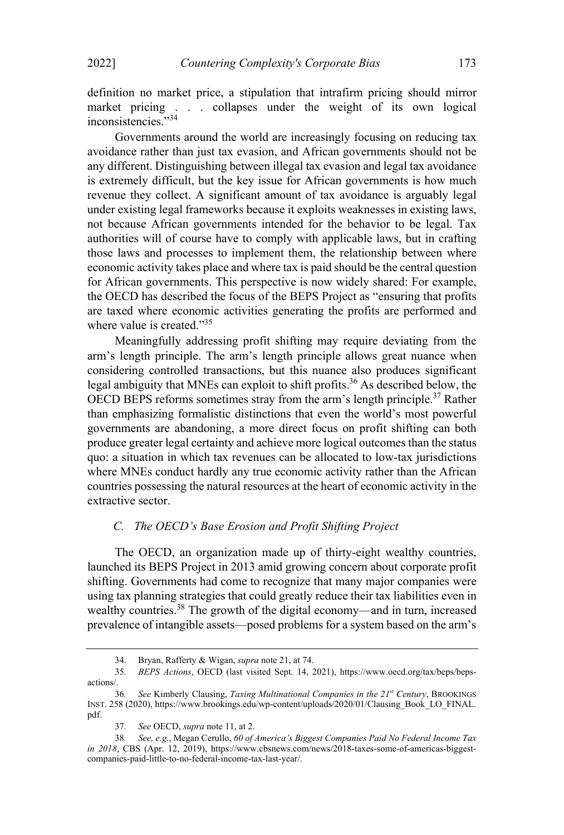definition no market price, a stipulation that intrafirm pricing should mirror market pricing . . . collapses under the weight of its own logical inconsistencies."34

Governments around the world are increasingly focusing on reducing tax avoidance rather than just tax evasion, and African governments should not be any different. Distinguishing between illegal tax evasion and legal tax avoidance is extremely difficult, but the key issue for African governments is how much revenue they collect. A significant amount of tax avoidance is arguably legal under existing legal frameworks because it exploits weaknesses in existing laws, not because African governments intended for the behavior to be legal. Tax authorities will of course have to comply with applicable laws, but in crafting those laws and processes to implement them, the relationship between where economic activity takes place and where tax is paid should be the central question for African governments. This perspective is now widely shared: For example, the OECD has described the focus of the BEPS Project as "ensuring that profits" are taxed where economic activities generating the profits are performed and where value is created. $35$ 

Meaningfully addressing profit shifting may require deviating from the arm's length principle. The arm's length principle allows great nuance when considering controlled transactions, but this nuance also produces significant legal ambiguity that MNEs can exploit to shift profits.<sup>36</sup> As described below, the OECD BEPS reforms sometimes stray from the arm's length principle.<sup>37</sup> Rather than emphasizing formalistic distinctions that even the world's most powerful governments are abandoning, a more direct focus on profit shifting can both produce greater legal certainty and achieve more logical outcomesthan the status quo: a situation in which tax revenues can be allocated to low-tax jurisdictions where MNEs conduct hardly any true economic activity rather than the African countries possessing the natural resources at the heart of economic activity in the extractive sector.

#### C. The OECD's Base Erosion and Profit Shifting Project

The OECD, an organization made up of thirty-eight wealthy countries, launched its BEPS Project in 2013 amid growing concern about corporate profit shifting. Governments had come to recognize that many major companies were using tax planning strategies that could greatly reduce their tax liabilities even in wealthy countries.<sup>38</sup> The growth of the digital economy—and in turn, increased prevalence of intangible assets—posed problems for a system based on the arm's

<sup>34.</sup> Bryan, Rafferty & Wigan, supra note 21, at 74.

<sup>35</sup>. BEPS Actions, OECD (last visited Sept. 14, 2021), https://www.oecd.org/tax/beps/bepsactions/.

<sup>36.</sup> See Kimberly Clausing, Taxing Multinational Companies in the  $21^{st}$  Century, BROOKINGS INST. 258 (2020), https://www.brookings.edu/wp-content/uploads/2020/01/Clausing\_Book\_LO\_FINAL. pdf.

<sup>37</sup>. See OECD, supra note 11, at 2.

<sup>38.</sup> See, e.g., Megan Cerullo, 60 of America's Biggest Companies Paid No Federal Income Tax in 2018, CBS (Apr. 12, 2019), https://www.cbsnews.com/news/2018-taxes-some-of-americas-biggestcompanies-paid-little-to-no-federal-income-tax-last-year/.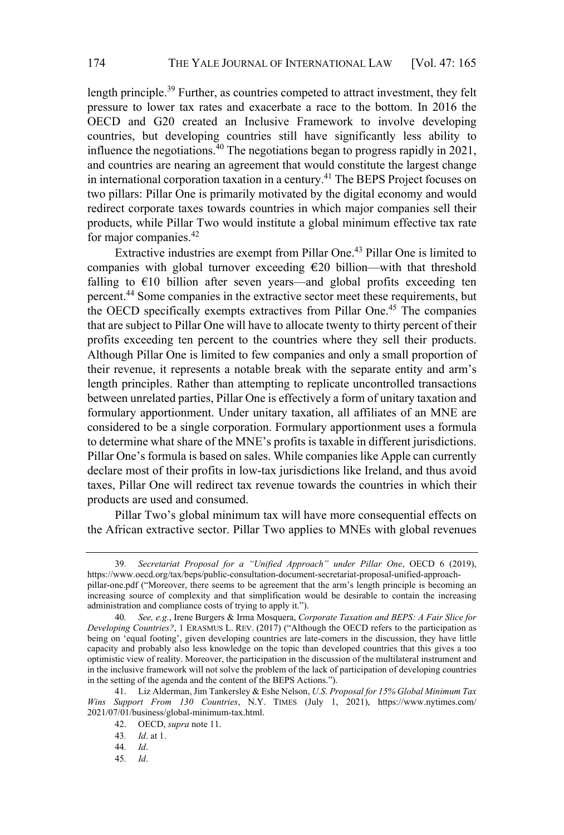length principle.<sup>39</sup> Further, as countries competed to attract investment, they felt pressure to lower tax rates and exacerbate a race to the bottom. In 2016 the OECD and G20 created an Inclusive Framework to involve developing countries, but developing countries still have significantly less ability to influence the negotiations.<sup>40</sup> The negotiations began to progress rapidly in 2021, and countries are nearing an agreement that would constitute the largest change in international corporation taxation in a century.<sup>41</sup> The BEPS Project focuses on two pillars: Pillar One is primarily motivated by the digital economy and would redirect corporate taxes towards countries in which major companies sell their products, while Pillar Two would institute a global minimum effective tax rate for major companies.<sup>42</sup>

Extractive industries are exempt from Pillar One.<sup>43</sup> Pillar One is limited to companies with global turnover exceeding  $\epsilon$ 20 billion—with that threshold falling to  $E10$  billion after seven years—and global profits exceeding ten percent.44 Some companies in the extractive sector meet these requirements, but the OECD specifically exempts extractives from Pillar One.<sup>45</sup> The companies that are subject to Pillar One will have to allocate twenty to thirty percent of their profits exceeding ten percent to the countries where they sell their products. Although Pillar One is limited to few companies and only a small proportion of their revenue, it represents a notable break with the separate entity and arm's length principles. Rather than attempting to replicate uncontrolled transactions between unrelated parties, Pillar One is effectively a form of unitary taxation and formulary apportionment. Under unitary taxation, all affiliates of an MNE are considered to be a single corporation. Formulary apportionment uses a formula to determine what share of the MNE's profits is taxable in different jurisdictions. Pillar One's formula is based on sales. While companies like Apple can currently declare most of their profits in low-tax jurisdictions like Ireland, and thus avoid taxes, Pillar One will redirect tax revenue towards the countries in which their products are used and consumed.

Pillar Two's global minimum tax will have more consequential effects on the African extractive sector. Pillar Two applies to MNEs with global revenues

45. Id.

<sup>39.</sup> Secretariat Proposal for a "Unified Approach" under Pillar One, OECD 6 (2019), https://www.oecd.org/tax/beps/public-consultation-document-secretariat-proposal-unified-approachpillar-one.pdf ("Moreover, there seems to be agreement that the arm's length principle is becoming an increasing source of complexity and that simplification would be desirable to contain the increasing administration and compliance costs of trying to apply it.").

<sup>40.</sup> See, e.g., Irene Burgers & Irma Mosquera, Corporate Taxation and BEPS: A Fair Slice for Developing Countries?, 1 ERASMUS L. REV. (2017) ("Although the OECD refers to the participation as being on 'equal footing', given developing countries are late-comers in the discussion, they have little capacity and probably also less knowledge on the topic than developed countries that this gives a too optimistic view of reality. Moreover, the participation in the discussion of the multilateral instrument and in the inclusive framework will not solve the problem of the lack of participation of developing countries in the setting of the agenda and the content of the BEPS Actions.").

<sup>41.</sup> Liz Alderman, Jim Tankersley & Eshe Nelson, U.S. Proposal for 15% Global Minimum Tax Wins Support From 130 Countries, N.Y. TIMES (July 1, 2021), https://www.nytimes.com/ 2021/07/01/business/global-minimum-tax.html.

<sup>42.</sup> OECD, supra note 11.

<sup>43</sup>. Id. at 1.

<sup>44</sup>. Id.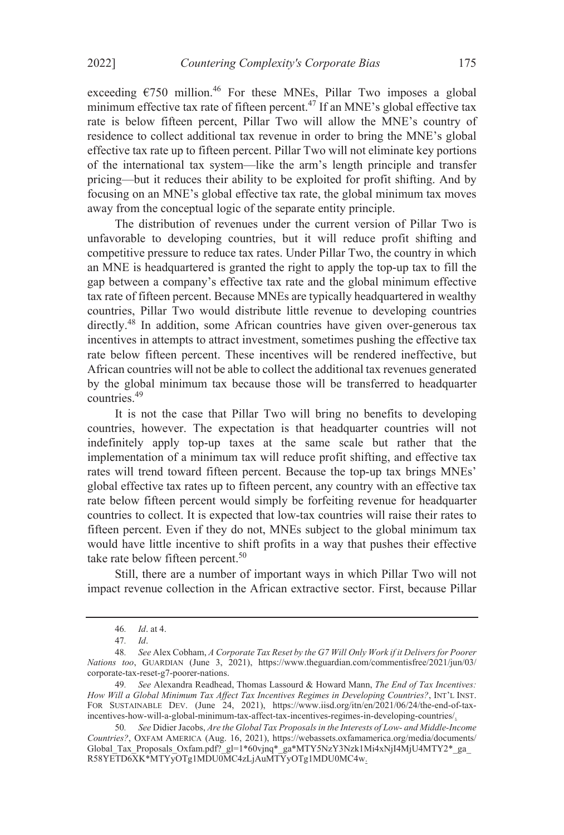exceeding  $\epsilon$ 750 million.<sup>46</sup> For these MNEs, Pillar Two imposes a global minimum effective tax rate of fifteen percent.<sup>47</sup> If an MNE's global effective tax rate is below fifteen percent, Pillar Two will allow the MNE's country of residence to collect additional tax revenue in order to bring the MNE's global effective tax rate up to fifteen percent. Pillar Two will not eliminate key portions of the international tax system-like the arm's length principle and transfer pricing—but it reduces their ability to be exploited for profit shifting. And by focusing on an MNE's global effective tax rate, the global minimum tax moves away from the conceptual logic of the separate entity principle.

The distribution of revenues under the current version of Pillar Two is unfavorable to developing countries, but it will reduce profit shifting and competitive pressure to reduce tax rates. Under Pillar Two, the country in which an MNE is headquartered is granted the right to apply the top-up tax to fill the gap between a companys effective tax rate and the global minimum effective tax rate of fifteen percent. Because MNEs are typically headquartered in wealthy countries, Pillar Two would distribute little revenue to developing countries directly.<sup>48</sup> In addition, some African countries have given over-generous tax incentives in attempts to attract investment, sometimes pushing the effective tax rate below fifteen percent. These incentives will be rendered ineffective, but African countries will not be able to collect the additional tax revenues generated by the global minimum tax because those will be transferred to headquarter countries.49

It is not the case that Pillar Two will bring no benefits to developing countries, however. The expectation is that headquarter countries will not indefinitely apply top-up taxes at the same scale but rather that the implementation of a minimum tax will reduce profit shifting, and effective tax rates will trend toward fifteen percent. Because the top-up tax brings MNEs global effective tax rates up to fifteen percent, any country with an effective tax rate below fifteen percent would simply be forfeiting revenue for headquarter countries to collect. It is expected that low-tax countries will raise their rates to fifteen percent. Even if they do not, MNEs subject to the global minimum tax would have little incentive to shift profits in a way that pushes their effective take rate below fifteen percent.<sup>50</sup>

Still, there are a number of important ways in which Pillar Two will not impact revenue collection in the African extractive sector. First, because Pillar

<sup>46</sup>. Id. at 4.

<sup>47</sup>. Id.

<sup>48.</sup> See Alex Cobham, A Corporate Tax Reset by the G7 Will Only Work if it Delivers for Poorer Nations too, GUARDIAN (June 3, 2021), https://www.theguardian.com/commentisfree/2021/jun/03/ corporate-tax-reset-g7-poorer-nations.

<sup>49</sup>. See Alexandra Readhead, Thomas Lassourd & Howard Mann, The End of Tax Incentives: How Will a Global Minimum Tax Affect Tax Incentives Regimes in Developing Countries?, INT'L INST. FOR SUSTAINABLE DEV. (June 24, 2021), https://www.iisd.org/itn/en/2021/06/24/the-end-of-taxincentives-how-will-a-global-minimum-tax-affect-tax-incentives-regimes-in-developing-countries/.

<sup>50.</sup> See Didier Jacobs, Are the Global Tax Proposals in the Interests of Low- and Middle-Income Countries?, OXFAM AMERICA (Aug. 16, 2021), https://webassets.oxfamamerica.org/media/documents/ Global\_Tax\_Proposals\_Oxfam.pdf?\_gl=1\*60vjnq\*\_ga\*MTY5NzY3Nzk1Mi4xNjI4MjU4MTY2\*\_ga\_ R58YETD6XK\*MTYyOTg1MDU0MC4zLjAuMTYyOTg1MDU0MC4w.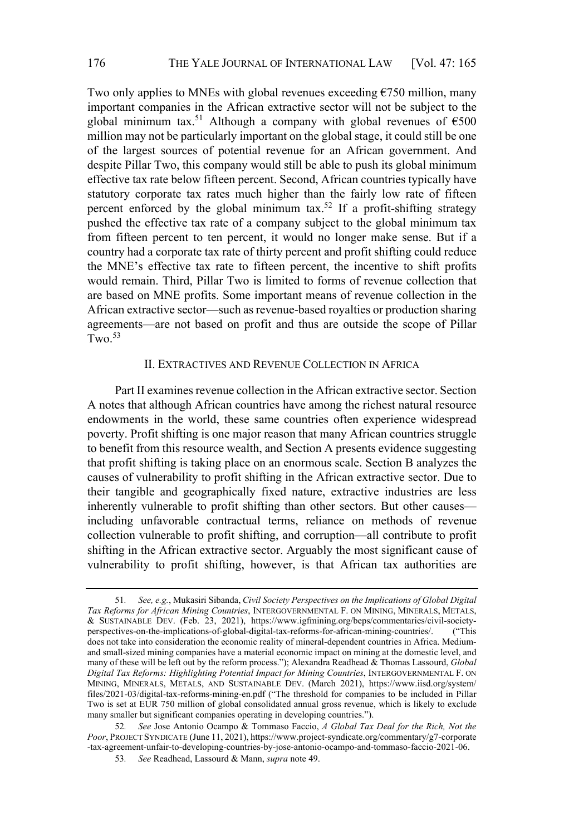Two only applies to MNEs with global revenues exceeding  $\epsilon$ 750 million, many important companies in the African extractive sector will not be subject to the global minimum tax.<sup>51</sup> Although a company with global revenues of  $\epsilon$ 500 million may not be particularly important on the global stage, it could still be one of the largest sources of potential revenue for an African government. And despite Pillar Two, this company would still be able to push its global minimum effective tax rate below fifteen percent. Second, African countries typically have statutory corporate tax rates much higher than the fairly low rate of fifteen percent enforced by the global minimum tax.<sup>52</sup> If a profit-shifting strategy pushed the effective tax rate of a company subject to the global minimum tax from fifteen percent to ten percent, it would no longer make sense. But if a country had a corporate tax rate of thirty percent and profit shifting could reduce the MNE's effective tax rate to fifteen percent, the incentive to shift profits would remain. Third, Pillar Two is limited to forms of revenue collection that are based on MNE profits. Some important means of revenue collection in the African extractive sector—such as revenue-based royalties or production sharing agreements—are not based on profit and thus are outside the scope of Pillar  $T_{WQ}$ <sup>53</sup>

## II. EXTRACTIVES AND REVENUE COLLECTION IN AFRICA

Part II examines revenue collection in the African extractive sector. Section A notes that although African countries have among the richest natural resource endowments in the world, these same countries often experience widespread poverty. Profit shifting is one major reason that many African countries struggle to benefit from this resource wealth, and Section A presents evidence suggesting that profit shifting is taking place on an enormous scale. Section B analyzes the causes of vulnerability to profit shifting in the African extractive sector. Due to their tangible and geographically fixed nature, extractive industries are less inherently vulnerable to profit shifting than other sectors. But other causes including unfavorable contractual terms, reliance on methods of revenue collection vulnerable to profit shifting, and corruption—all contribute to profit shifting in the African extractive sector. Arguably the most significant cause of vulnerability to profit shifting, however, is that African tax authorities are

<sup>51.</sup> See, e.g., Mukasiri Sibanda, Civil Society Perspectives on the Implications of Global Digital Tax Reforms for African Mining Countries, INTERGOVERNMENTAL F. ON MINING, MINERALS, METALS, & SUSTAINABLE DEV. (Feb. 23, 2021), https://www.igfmining.org/beps/commentaries/civil-societyperspectives-on-the-implications-of-global-digital-tax-reforms-for-african-mining-countries/. (This does not take into consideration the economic reality of mineral-dependent countries in Africa. Mediumand small-sized mining companies have a material economic impact on mining at the domestic level, and many of these will be left out by the reform process."); Alexandra Readhead & Thomas Lassourd, Global Digital Tax Reforms: Highlighting Potential Impact for Mining Countries, INTERGOVERNMENTAL F. ON MINING, MINERALS, METALS, AND SUSTAINABLE DEV. (March 2021), https://www.iisd.org/system/ files/2021-03/digital-tax-reforms-mining-en.pdf ("The threshold for companies to be included in Pillar Two is set at EUR 750 million of global consolidated annual gross revenue, which is likely to exclude many smaller but significant companies operating in developing countries.").

<sup>52</sup>. See Jose Antonio Ocampo & Tommaso Faccio, A Global Tax Deal for the Rich, Not the Poor, PROJECT SYNDICATE (June 11, 2021), https://www.project-syndicate.org/commentary/g7-corporate -tax-agreement-unfair-to-developing-countries-by-jose-antonio-ocampo-and-tommaso-faccio-2021-06.

<sup>53.</sup> See Readhead, Lassourd & Mann, supra note 49.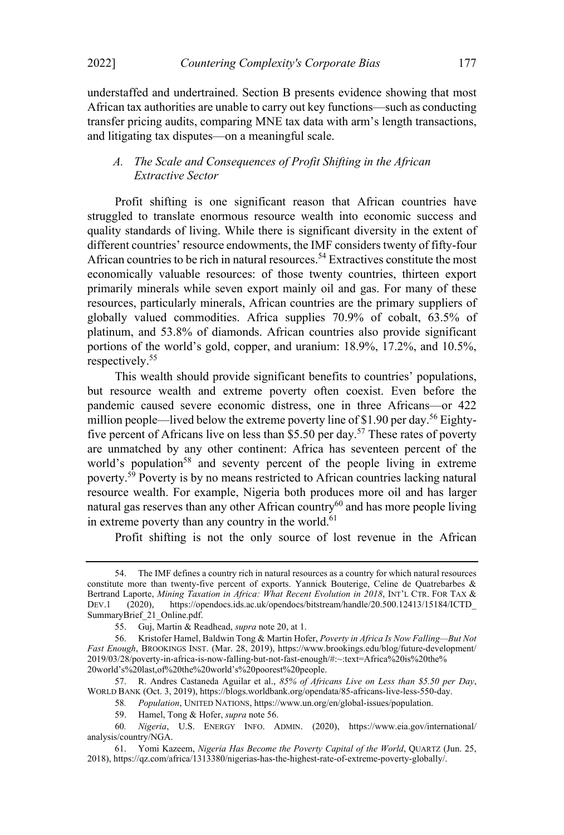understaffed and undertrained. Section B presents evidence showing that most African tax authorities are unable to carry out key functions—such as conducting transfer pricing audits, comparing MNE tax data with arm's length transactions, and litigating tax disputes—on a meaningful scale.

## A. The Scale and Consequences of Profit Shifting in the African Extractive Sector

Profit shifting is one significant reason that African countries have struggled to translate enormous resource wealth into economic success and quality standards of living. While there is significant diversity in the extent of different countries' resource endowments, the IMF considers twenty of fifty-four African countries to be rich in natural resources.<sup>54</sup> Extractives constitute the most economically valuable resources: of those twenty countries, thirteen export primarily minerals while seven export mainly oil and gas. For many of these resources, particularly minerals, African countries are the primary suppliers of globally valued commodities. Africa supplies 70.9% of cobalt, 63.5% of platinum, and 53.8% of diamonds. African countries also provide significant portions of the world's gold, copper, and uranium:  $18.9\%$ ,  $17.2\%$ , and  $10.5\%$ , respectively.55

This wealth should provide significant benefits to countries' populations, but resource wealth and extreme poverty often coexist. Even before the pandemic caused severe economic distress, one in three Africans-or 422 million people—lived below the extreme poverty line of \$1.90 per day.<sup>56</sup> Eightyfive percent of Africans live on less than \$5.50 per day.<sup>57</sup> These rates of poverty are unmatched by any other continent: Africa has seventeen percent of the world's population<sup>58</sup> and seventy percent of the people living in extreme poverty.<sup>59</sup> Poverty is by no means restricted to African countries lacking natural resource wealth. For example, Nigeria both produces more oil and has larger natural gas reserves than any other African country<sup>60</sup> and has more people living in extreme poverty than any country in the world. $61$ 

Profit shifting is not the only source of lost revenue in the African

<sup>54.</sup> The IMF defines a country rich in natural resources as a country for which natural resources constitute more than twenty-five percent of exports. Yannick Bouterige, Celine de Quatrebarbes & Bertrand Laporte, *Mining Taxation in Africa: What Recent Evolution in 2018*, INT'L CTR. FOR TAX & DEV.1 (2020), https://opendocs.ids.ac.uk/opendocs/bitstream/handle/20.500.12413/15184/ICTD DEV.1 (2020), https://opendocs.ids.ac.uk/opendocs/bitstream/handle/20.500.12413/15184/ICTD\_ SummaryBrief\_21\_Online.pdf.

<sup>55.</sup> Guj, Martin & Readhead, supra note 20, at 1.

<sup>56.</sup> Kristofer Hamel, Baldwin Tong & Martin Hofer, Poverty in Africa Is Now Falling—But Not Fast Enough, BROOKINGS INST. (Mar. 28, 2019), https://www.brookings.edu/blog/future-development/ 2019/03/28/poverty-in-africa-is-now-falling-but-not-fast-enough/#:~:text=Africa%20is%20the% 20world's%20last,of%20the%20world's%20poorest%20people.

<sup>57.</sup> R. Andres Castaneda Aguilar et al., 85% of Africans Live on Less than \$5.50 per Day, WORLD BANK (Oct. 3, 2019), https://blogs.worldbank.org/opendata/85-africans-live-less-550-day.

<sup>58</sup>. Population, UNITED NATIONS, https://www.un.org/en/global-issues/population.

<sup>59.</sup> Hamel, Tong & Hofer, supra note 56.

<sup>60</sup>. Nigeria, U.S. ENERGY INFO. ADMIN. (2020), https://www.eia.gov/international/ analysis/country/NGA.

<sup>61.</sup> Yomi Kazeem, Nigeria Has Become the Poverty Capital of the World, QUARTZ (Jun. 25, 2018), https://qz.com/africa/1313380/nigerias-has-the-highest-rate-of-extreme-poverty-globally/.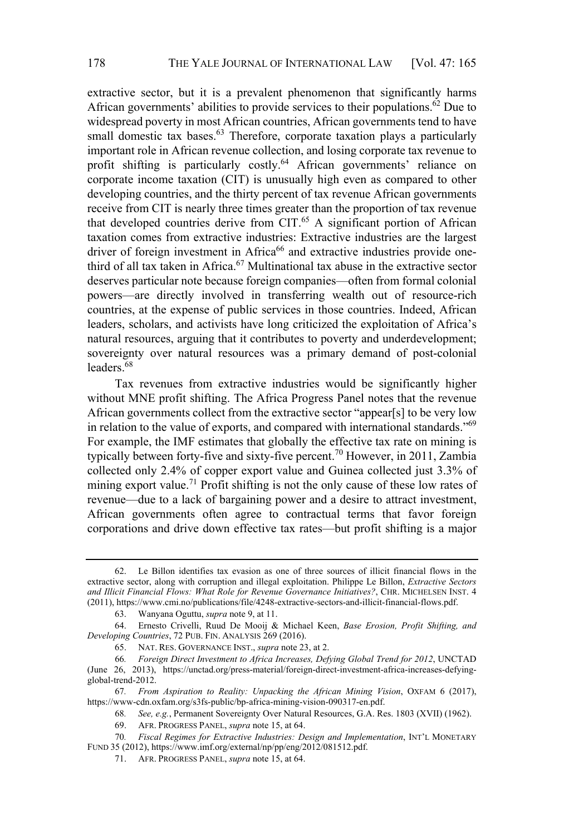extractive sector, but it is a prevalent phenomenon that significantly harms African governments' abilities to provide services to their populations.<sup>62</sup> Due to widespread poverty in most African countries, African governments tend to have small domestic tax bases. $63$  Therefore, corporate taxation plays a particularly important role in African revenue collection, and losing corporate tax revenue to profit shifting is particularly costly.<sup>64</sup> African governments' reliance on corporate income taxation (CIT) is unusually high even as compared to other developing countries, and the thirty percent of tax revenue African governments receive from CIT is nearly three times greater than the proportion of tax revenue that developed countries derive from CIT.<sup>65</sup> A significant portion of African taxation comes from extractive industries: Extractive industries are the largest driver of foreign investment in Africa<sup>66</sup> and extractive industries provide onethird of all tax taken in Africa.<sup>67</sup> Multinational tax abuse in the extractive sector deserves particular note because foreign companies—often from formal colonial powers—are directly involved in transferring wealth out of resource-rich countries, at the expense of public services in those countries. Indeed, African leaders, scholars, and activists have long criticized the exploitation of Africa's natural resources, arguing that it contributes to poverty and underdevelopment; sovereignty over natural resources was a primary demand of post-colonial leaders.<sup>68</sup>

Tax revenues from extractive industries would be significantly higher without MNE profit shifting. The Africa Progress Panel notes that the revenue African governments collect from the extractive sector "appear[s] to be very low in relation to the value of exports, and compared with international standards.<sup> $569$ </sup> For example, the IMF estimates that globally the effective tax rate on mining is typically between forty-five and sixty-five percent.<sup>70</sup> However, in 2011, Zambia collected only 2.4% of copper export value and Guinea collected just 3.3% of mining export value.<sup>71</sup> Profit shifting is not the only cause of these low rates of revenue—due to a lack of bargaining power and a desire to attract investment, African governments often agree to contractual terms that favor foreign corporations and drive down effective tax rates—but profit shifting is a major

<sup>62.</sup> Le Billon identifies tax evasion as one of three sources of illicit financial flows in the extractive sector, along with corruption and illegal exploitation. Philippe Le Billon, Extractive Sectors and Illicit Financial Flows: What Role for Revenue Governance Initiatives?, CHR. MICHELSEN INST. 4 (2011), https://www.cmi.no/publications/file/4248-extractive-sectors-and-illicit-financial-flows.pdf.

<sup>63.</sup> Wanyana Oguttu, supra note 9, at 11.

<sup>64.</sup> Ernesto Crivelli, Ruud De Mooij & Michael Keen, Base Erosion, Profit Shifting, and Developing Countries, 72 PUB. FIN. ANALYSIS 269 (2016).

<sup>65.</sup> NAT. RES. GOVERNANCE INST., supra note 23, at 2.

<sup>66</sup>. Foreign Direct Investment to Africa Increases, Defying Global Trend for 2012, UNCTAD (June 26, 2013), https://unctad.org/press-material/foreign-direct-investment-africa-increases-defyingglobal-trend-2012.

<sup>67</sup>. From Aspiration to Reality: Unpacking the African Mining Vision, OXFAM 6 (2017), https://www-cdn.oxfam.org/s3fs-public/bp-africa-mining-vision-090317-en.pdf.

<sup>68</sup>. See, e.g., Permanent Sovereignty Over Natural Resources, G.A. Res. 1803 (XVII) (1962).

<sup>69.</sup> AFR. PROGRESS PANEL, supra note 15, at 64.

<sup>70</sup>. Fiscal Regimes for Extractive Industries: Design and Implementation, INTL MONETARY FUND 35 (2012), https://www.imf.org/external/np/pp/eng/2012/081512.pdf.

<sup>71.</sup> AFR. PROGRESS PANEL, supra note 15, at 64.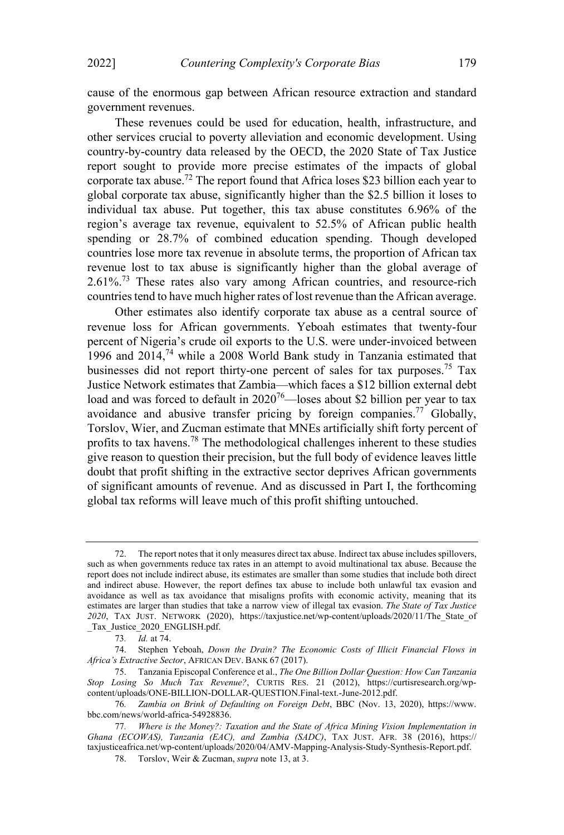cause of the enormous gap between African resource extraction and standard government revenues.

These revenues could be used for education, health, infrastructure, and other services crucial to poverty alleviation and economic development. Using country-by-country data released by the OECD, the 2020 State of Tax Justice report sought to provide more precise estimates of the impacts of global corporate tax abuse.72 The report found that Africa loses \$23 billion each year to global corporate tax abuse, significantly higher than the \$2.5 billion it loses to individual tax abuse. Put together, this tax abuse constitutes 6.96% of the region's average tax revenue, equivalent to 52.5% of African public health spending or 28.7% of combined education spending. Though developed countries lose more tax revenue in absolute terms, the proportion of African tax revenue lost to tax abuse is significantly higher than the global average of 2.61%.73 These rates also vary among African countries, and resource-rich countries tend to have much higher rates of lost revenue than the African average.

Other estimates also identify corporate tax abuse as a central source of revenue loss for African governments. Yeboah estimates that twenty-four percent of Nigeria's crude oil exports to the U.S. were under-invoiced between 1996 and 2014, <sup>74</sup> while a 2008 World Bank study in Tanzania estimated that businesses did not report thirty-one percent of sales for tax purposes.<sup>75</sup> Tax Justice Network estimates that Zambia—which faces a \$12 billion external debt load and was forced to default in  $2020^{76}$ —loses about \$2 billion per year to tax avoidance and abusive transfer pricing by foreign companies.77 Globally, Torslov, Wier, and Zucman estimate that MNEs artificially shift forty percent of profits to tax havens.78 The methodological challenges inherent to these studies give reason to question their precision, but the full body of evidence leaves little doubt that profit shifting in the extractive sector deprives African governments of significant amounts of revenue. And as discussed in Part I, the forthcoming global tax reforms will leave much of this profit shifting untouched.

<sup>72.</sup> The report notes that it only measures direct tax abuse. Indirect tax abuse includes spillovers, such as when governments reduce tax rates in an attempt to avoid multinational tax abuse. Because the report does not include indirect abuse, its estimates are smaller than some studies that include both direct and indirect abuse. However, the report defines tax abuse to include both unlawful tax evasion and avoidance as well as tax avoidance that misaligns profits with economic activity, meaning that its estimates are larger than studies that take a narrow view of illegal tax evasion. The State of Tax Justice 2020, TAX JUST. NETWORK (2020), https://taxjustice.net/wp-content/uploads/2020/11/The State of \_Tax\_Justice\_2020\_ENGLISH.pdf.

<sup>73</sup>. Id. at 74.

<sup>74.</sup> Stephen Yeboah, Down the Drain? The Economic Costs of Illicit Financial Flows in Africa's Extractive Sector, AFRICAN DEV. BANK 67 (2017).

<sup>75.</sup> Tanzania Episcopal Conference et al., The One Billion Dollar Question: How Can Tanzania Stop Losing So Much Tax Revenue?, CURTIS RES. 21 (2012), https://curtisresearch.org/wpcontent/uploads/ONE-BILLION-DOLLAR-QUESTION.Final-text.-June-2012.pdf.

<sup>76</sup>. Zambia on Brink of Defaulting on Foreign Debt, BBC (Nov. 13, 2020), https://www. bbc.com/news/world-africa-54928836.

<sup>77</sup>. Where is the Money?: Taxation and the State of Africa Mining Vision Implementation in Ghana (ECOWAS), Tanzania (EAC), and Zambia (SADC), TAX JUST. AFR. 38 (2016), https:// taxjusticeafrica.net/wp-content/uploads/2020/04/AMV-Mapping-Analysis-Study-Synthesis-Report.pdf.

<sup>78.</sup> Torslov, Weir & Zucman, supra note 13, at 3.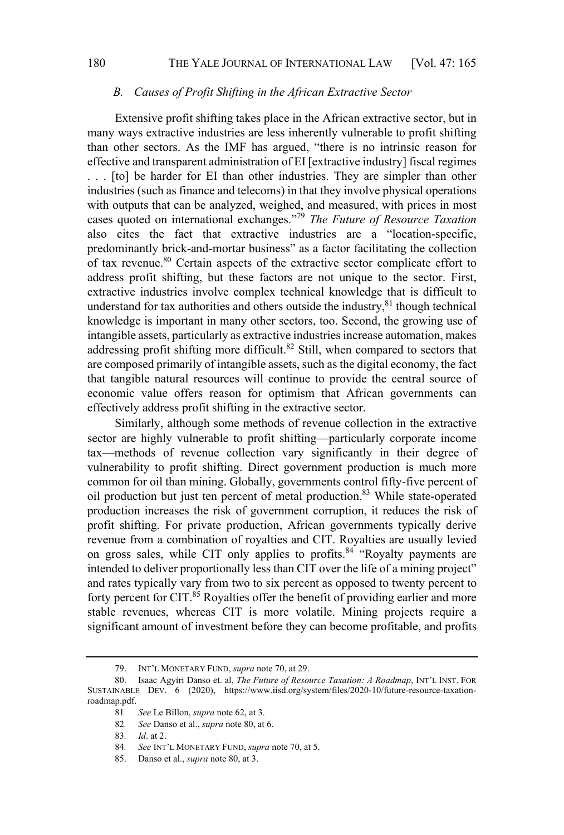#### B. Causes of Profit Shifting in the African Extractive Sector

Extensive profit shifting takes place in the African extractive sector, but in many ways extractive industries are less inherently vulnerable to profit shifting than other sectors. As the IMF has argued, "there is no intrinsic reason for effective and transparent administration of EI [extractive industry] fiscal regimes . . . [to] be harder for EI than other industries. They are simpler than other industries (such as finance and telecoms) in that they involve physical operations with outputs that can be analyzed, weighed, and measured, with prices in most cases quoted on international exchanges."<sup>79</sup> The Future of Resource Taxation also cites the fact that extractive industries are a "location-specific, predominantly brick-and-mortar business" as a factor facilitating the collection of tax revenue.<sup>80</sup> Certain aspects of the extractive sector complicate effort to address profit shifting, but these factors are not unique to the sector. First, extractive industries involve complex technical knowledge that is difficult to understand for tax authorities and others outside the industry, $81$  though technical knowledge is important in many other sectors, too. Second, the growing use of intangible assets, particularly as extractive industries increase automation, makes addressing profit shifting more difficult.<sup>82</sup> Still, when compared to sectors that are composed primarily of intangible assets, such as the digital economy, the fact that tangible natural resources will continue to provide the central source of economic value offers reason for optimism that African governments can effectively address profit shifting in the extractive sector.

Similarly, although some methods of revenue collection in the extractive sector are highly vulnerable to profit shifting—particularly corporate income tax—methods of revenue collection vary significantly in their degree of vulnerability to profit shifting. Direct government production is much more common for oil than mining. Globally, governments control fifty-five percent of oil production but just ten percent of metal production.83 While state-operated production increases the risk of government corruption, it reduces the risk of profit shifting. For private production, African governments typically derive revenue from a combination of royalties and CIT. Royalties are usually levied on gross sales, while CIT only applies to profits.<sup>84</sup> "Royalty payments are intended to deliver proportionally less than CIT over the life of a mining project and rates typically vary from two to six percent as opposed to twenty percent to forty percent for CIT.<sup>85</sup> Royalties offer the benefit of providing earlier and more stable revenues, whereas CIT is more volatile. Mining projects require a significant amount of investment before they can become profitable, and profits

<sup>79.</sup> INT'L MONETARY FUND, *supra* note 70, at 29.

<sup>80.</sup> Isaac Agyiri Danso et. al, The Future of Resource Taxation: A Roadmap, INT'L INST. FOR SUSTAINABLE DEV. 6 (2020), https://www.iisd.org/system/files/2020-10/future-resource-taxationroadmap.pdf.

<sup>81</sup>. See Le Billon, supra note 62, at 3.

<sup>82</sup>. See Danso et al., supra note 80, at 6.

<sup>83</sup>. Id. at 2.

<sup>84.</sup> See INT'L MONETARY FUND, supra note 70, at 5.

<sup>85.</sup> Danso et al., *supra* note 80, at 3.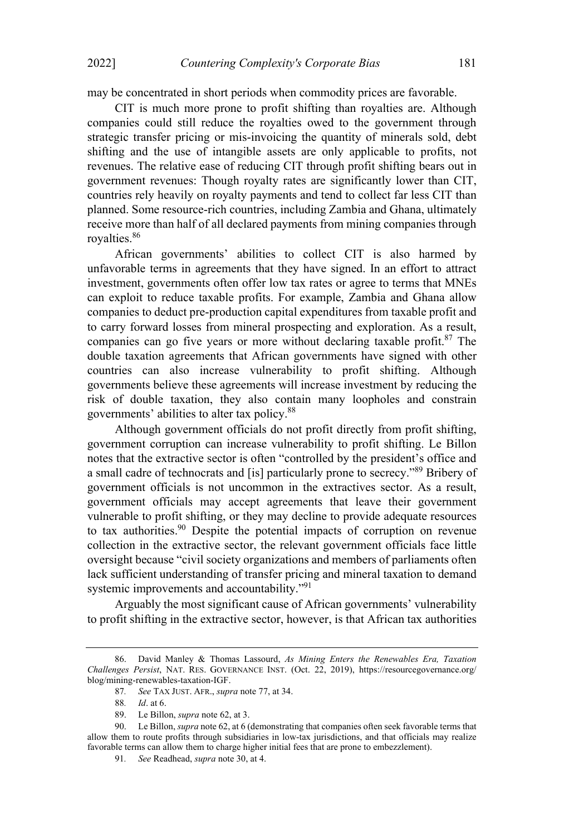may be concentrated in short periods when commodity prices are favorable.

CIT is much more prone to profit shifting than royalties are. Although companies could still reduce the royalties owed to the government through strategic transfer pricing or mis-invoicing the quantity of minerals sold, debt shifting and the use of intangible assets are only applicable to profits, not revenues. The relative ease of reducing CIT through profit shifting bears out in government revenues: Though royalty rates are significantly lower than CIT, countries rely heavily on royalty payments and tend to collect far less CIT than planned. Some resource-rich countries, including Zambia and Ghana, ultimately receive more than half of all declared payments from mining companies through royalties. 86

African governments' abilities to collect CIT is also harmed by unfavorable terms in agreements that they have signed. In an effort to attract investment, governments often offer low tax rates or agree to terms that MNEs can exploit to reduce taxable profits. For example, Zambia and Ghana allow companies to deduct pre-production capital expenditures from taxable profit and to carry forward losses from mineral prospecting and exploration. As a result, companies can go five years or more without declaring taxable profit. $87$  The double taxation agreements that African governments have signed with other countries can also increase vulnerability to profit shifting. Although governments believe these agreements will increase investment by reducing the risk of double taxation, they also contain many loopholes and constrain governments' abilities to alter tax policy.<sup>88</sup>

Although government officials do not profit directly from profit shifting, government corruption can increase vulnerability to profit shifting. Le Billon notes that the extractive sector is often "controlled by the president's office and a small cadre of technocrats and [is] particularly prone to secrecy."<sup>89</sup> Bribery of government officials is not uncommon in the extractives sector. As a result, government officials may accept agreements that leave their government vulnerable to profit shifting, or they may decline to provide adequate resources to tax authorities.<sup>90</sup> Despite the potential impacts of corruption on revenue collection in the extractive sector, the relevant government officials face little oversight because "civil society organizations and members of parliaments often lack sufficient understanding of transfer pricing and mineral taxation to demand systemic improvements and accountability."<sup>91</sup>

Arguably the most significant cause of African governments' vulnerability to profit shifting in the extractive sector, however, is that African tax authorities

<sup>86.</sup> David Manley & Thomas Lassourd, As Mining Enters the Renewables Era, Taxation Challenges Persist, NAT. RES. GOVERNANCE INST. (Oct. 22, 2019), https://resourcegovernance.org/ blog/mining-renewables-taxation-IGF.

<sup>87</sup>. See TAX JUST. AFR., supra note 77, at 34.

<sup>88</sup>. Id. at 6.

<sup>89.</sup> Le Billon, supra note 62, at 3.

<sup>90.</sup> Le Billon, *supra* note 62, at 6 (demonstrating that companies often seek favorable terms that allow them to route profits through subsidiaries in low-tax jurisdictions, and that officials may realize favorable terms can allow them to charge higher initial fees that are prone to embezzlement).

<sup>91</sup>. See Readhead, supra note 30, at 4.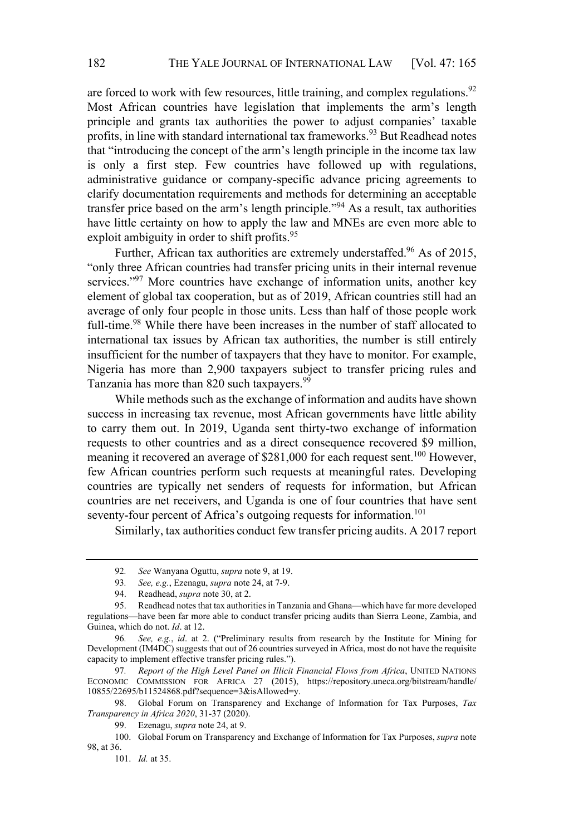are forced to work with few resources, little training, and complex regulations.<sup>92</sup> Most African countries have legislation that implements the arm's length principle and grants tax authorities the power to adjust companies' taxable profits, in line with standard international tax frameworks.<sup>93</sup> But Readhead notes that "introducing the concept of the arm's length principle in the income tax law is only a first step. Few countries have followed up with regulations, administrative guidance or company-specific advance pricing agreements to clarify documentation requirements and methods for determining an acceptable transfer price based on the arm's length principle.<sup>994</sup> As a result, tax authorities have little certainty on how to apply the law and MNEs are even more able to exploit ambiguity in order to shift profits.<sup>95</sup>

Further, African tax authorities are extremely understaffed.<sup>96</sup> As of 2015, "only three African countries had transfer pricing units in their internal revenue services.<sup>997</sup> More countries have exchange of information units, another key element of global tax cooperation, but as of 2019, African countries still had an average of only four people in those units. Less than half of those people work full-time.<sup>98</sup> While there have been increases in the number of staff allocated to international tax issues by African tax authorities, the number is still entirely insufficient for the number of taxpayers that they have to monitor. For example, Nigeria has more than 2,900 taxpayers subject to transfer pricing rules and Tanzania has more than 820 such taxpayers.<sup>99</sup>

While methods such as the exchange of information and audits have shown success in increasing tax revenue, most African governments have little ability to carry them out. In 2019, Uganda sent thirty-two exchange of information requests to other countries and as a direct consequence recovered \$9 million, meaning it recovered an average of \$281,000 for each request sent.<sup>100</sup> However, few African countries perform such requests at meaningful rates. Developing countries are typically net senders of requests for information, but African countries are net receivers, and Uganda is one of four countries that have sent seventy-four percent of Africa's outgoing requests for information.<sup>101</sup>

Similarly, tax authorities conduct few transfer pricing audits. A 2017 report

97. Report of the High Level Panel on Illicit Financial Flows from Africa, UNITED NATIONS ECONOMIC COMMISSION FOR AFRICA 27 (2015), https://repository.uneca.org/bitstream/handle/ 10855/22695/b11524868.pdf?sequence=3&isAllowed=y.

<sup>92.</sup> See Wanyana Oguttu, *supra* note 9, at 19.

<sup>93.</sup> See, e.g., Ezenagu, supra note 24, at 7-9.

<sup>94.</sup> Readhead, *supra* note 30, at 2.<br>95. Readhead notes that tax authori

Readhead notes that tax authorities in Tanzania and Ghana—which have far more developed regulations—have been far more able to conduct transfer pricing audits than Sierra Leone, Zambia, and Guinea, which do not. Id. at 12.

<sup>96.</sup> See, e.g., id. at 2. ("Preliminary results from research by the Institute for Mining for Development (IM4DC) suggests that out of 26 countries surveyed in Africa, most do not have the requisite capacity to implement effective transfer pricing rules.").

<sup>98.</sup> Global Forum on Transparency and Exchange of Information for Tax Purposes, Tax Transparency in Africa 2020, 31-37 (2020).

<sup>99.</sup> Ezenagu, *supra* note 24, at 9.

<sup>100.</sup> Global Forum on Transparency and Exchange of Information for Tax Purposes, supra note 98, at 36.

<sup>101.</sup> Id. at 35.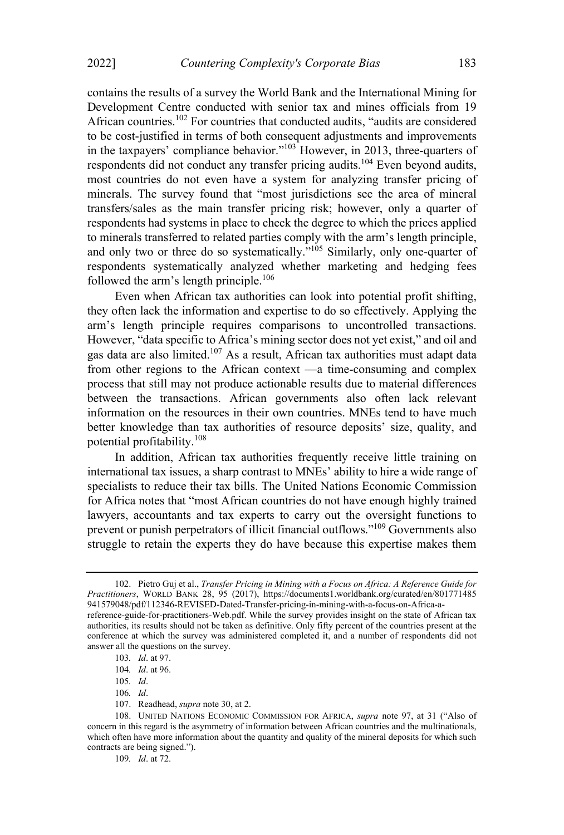contains the results of a survey the World Bank and the International Mining for Development Centre conducted with senior tax and mines officials from 19 African countries.<sup>102</sup> For countries that conducted audits, "audits are considered to be cost-justified in terms of both consequent adjustments and improvements in the taxpayers' compliance behavior." $103$  However, in 2013, three-quarters of respondents did not conduct any transfer pricing audits.104 Even beyond audits, most countries do not even have a system for analyzing transfer pricing of minerals. The survey found that "most jurisdictions see the area of mineral transfers/sales as the main transfer pricing risk; however, only a quarter of respondents had systems in place to check the degree to which the prices applied to minerals transferred to related parties comply with the arm's length principle, and only two or three do so systematically.<sup> $105$ </sup> Similarly, only one-quarter of respondents systematically analyzed whether marketing and hedging fees followed the arm's length principle.<sup>106</sup>

Even when African tax authorities can look into potential profit shifting, they often lack the information and expertise to do so effectively. Applying the arm's length principle requires comparisons to uncontrolled transactions. However, "data specific to Africa's mining sector does not yet exist," and oil and gas data are also limited. <sup>107</sup> As a result, African tax authorities must adapt data from other regions to the African context  $-a$  time-consuming and complex process that still may not produce actionable results due to material differences between the transactions. African governments also often lack relevant information on the resources in their own countries. MNEs tend to have much better knowledge than tax authorities of resource deposits' size, quality, and potential profitability.108

In addition, African tax authorities frequently receive little training on international tax issues, a sharp contrast to MNEs' ability to hire a wide range of specialists to reduce their tax bills. The United Nations Economic Commission for Africa notes that "most African countries do not have enough highly trained lawyers, accountants and tax experts to carry out the oversight functions to prevent or punish perpetrators of illicit financial outflows."<sup>109</sup> Governments also struggle to retain the experts they do have because this expertise makes them

<sup>102.</sup> Pietro Guj et al., Transfer Pricing in Mining with a Focus on Africa: A Reference Guide for Practitioners, WORLD BANK 28, 95 (2017), https://documents1.worldbank.org/curated/en/801771485 941579048/pdf/112346-REVISED-Dated-Transfer-pricing-in-mining-with-a-focus-on-Africa-areference-guide-for-practitioners-Web.pdf. While the survey provides insight on the state of African tax authorities, its results should not be taken as definitive. Only fifty percent of the countries present at the conference at which the survey was administered completed it, and a number of respondents did not

answer all the questions on the survey.

<sup>103</sup>. Id. at 97.

<sup>104</sup>. Id. at 96.

<sup>105</sup>. Id.

<sup>106</sup>. Id.

<sup>107.</sup> Readhead, supra note 30, at 2.

<sup>108.</sup> UNITED NATIONS ECONOMIC COMMISSION FOR AFRICA, supra note 97, at 31 ("Also of concern in this regard is the asymmetry of information between African countries and the multinationals, which often have more information about the quantity and quality of the mineral deposits for which such contracts are being signed.").

<sup>109</sup>. Id. at 72.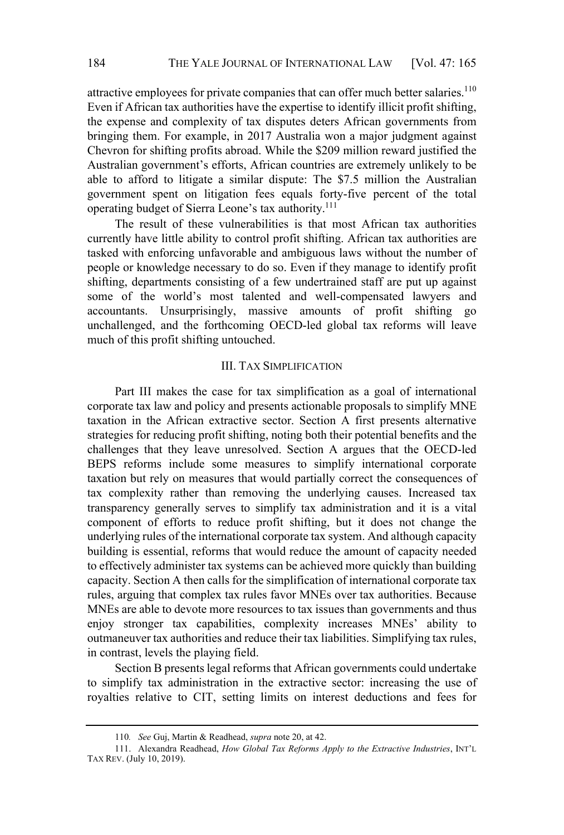attractive employees for private companies that can offer much better salaries.<sup>110</sup> Even if African tax authorities have the expertise to identify illicit profit shifting, the expense and complexity of tax disputes deters African governments from bringing them. For example, in 2017 Australia won a major judgment against Chevron for shifting profits abroad. While the \$209 million reward justified the Australian government's efforts, African countries are extremely unlikely to be able to afford to litigate a similar dispute: The \$7.5 million the Australian government spent on litigation fees equals forty-five percent of the total operating budget of Sierra Leone's tax authority.<sup>111</sup>

The result of these vulnerabilities is that most African tax authorities currently have little ability to control profit shifting. African tax authorities are tasked with enforcing unfavorable and ambiguous laws without the number of people or knowledge necessary to do so. Even if they manage to identify profit shifting, departments consisting of a few undertrained staff are put up against some of the world's most talented and well-compensated lawyers and accountants. Unsurprisingly, massive amounts of profit shifting go unchallenged, and the forthcoming OECD-led global tax reforms will leave much of this profit shifting untouched.

#### III. TAX SIMPLIFICATION

Part III makes the case for tax simplification as a goal of international corporate tax law and policy and presents actionable proposals to simplify MNE taxation in the African extractive sector. Section A first presents alternative strategies for reducing profit shifting, noting both their potential benefits and the challenges that they leave unresolved. Section A argues that the OECD-led BEPS reforms include some measures to simplify international corporate taxation but rely on measures that would partially correct the consequences of tax complexity rather than removing the underlying causes. Increased tax transparency generally serves to simplify tax administration and it is a vital component of efforts to reduce profit shifting, but it does not change the underlying rules of the international corporate tax system. And although capacity building is essential, reforms that would reduce the amount of capacity needed to effectively administer tax systems can be achieved more quickly than building capacity. Section A then calls for the simplification of international corporate tax rules, arguing that complex tax rules favor MNEs over tax authorities. Because MNEs are able to devote more resources to tax issues than governments and thus enjoy stronger tax capabilities, complexity increases MNEs' ability to outmaneuver tax authorities and reduce their tax liabilities. Simplifying tax rules, in contrast, levels the playing field.

Section B presents legal reforms that African governments could undertake to simplify tax administration in the extractive sector: increasing the use of royalties relative to CIT, setting limits on interest deductions and fees for

<sup>110</sup>. See Guj, Martin & Readhead, supra note 20, at 42.

<sup>111.</sup> Alexandra Readhead, How Global Tax Reforms Apply to the Extractive Industries, INT'L TAX REV. (July 10, 2019).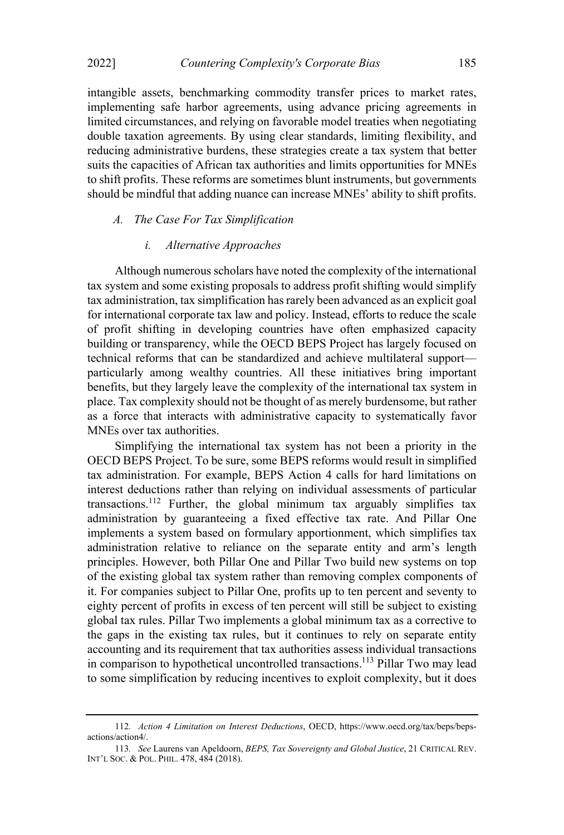intangible assets, benchmarking commodity transfer prices to market rates, implementing safe harbor agreements, using advance pricing agreements in limited circumstances, and relying on favorable model treaties when negotiating double taxation agreements. By using clear standards, limiting flexibility, and reducing administrative burdens, these strategies create a tax system that better suits the capacities of African tax authorities and limits opportunities for MNEs to shift profits. These reforms are sometimes blunt instruments, but governments should be mindful that adding nuance can increase MNEs' ability to shift profits.

#### A. The Case For Tax Simplification

#### i. Alternative Approaches

Although numerous scholars have noted the complexity of the international tax system and some existing proposals to address profit shifting would simplify tax administration, tax simplification hasrarely been advanced as an explicit goal for international corporate tax law and policy. Instead, efforts to reduce the scale of profit shifting in developing countries have often emphasized capacity building or transparency, while the OECD BEPS Project has largely focused on technical reforms that can be standardized and achieve multilateral support particularly among wealthy countries. All these initiatives bring important benefits, but they largely leave the complexity of the international tax system in place. Tax complexity should not be thought of as merely burdensome, but rather as a force that interacts with administrative capacity to systematically favor MNEs over tax authorities.

Simplifying the international tax system has not been a priority in the OECD BEPS Project. To be sure, some BEPS reforms would result in simplified tax administration. For example, BEPS Action 4 calls for hard limitations on interest deductions rather than relying on individual assessments of particular transactions. <sup>112</sup> Further, the global minimum tax arguably simplifies tax administration by guaranteeing a fixed effective tax rate. And Pillar One implements a system based on formulary apportionment, which simplifies tax administration relative to reliance on the separate entity and arm's length principles. However, both Pillar One and Pillar Two build new systems on top of the existing global tax system rather than removing complex components of it. For companies subject to Pillar One, profits up to ten percent and seventy to eighty percent of profits in excess of ten percent will still be subject to existing global tax rules. Pillar Two implements a global minimum tax as a corrective to the gaps in the existing tax rules, but it continues to rely on separate entity accounting and its requirement that tax authorities assess individual transactions in comparison to hypothetical uncontrolled transactions.113 Pillar Two may lead to some simplification by reducing incentives to exploit complexity, but it does

<sup>112</sup>. Action 4 Limitation on Interest Deductions, OECD, https://www.oecd.org/tax/beps/bepsactions/action4/.

<sup>113</sup>. See Laurens van Apeldoorn, BEPS, Tax Sovereignty and Global Justice, 21 CRITICAL REV. INT'L SOC. & POL. PHIL. 478, 484 (2018).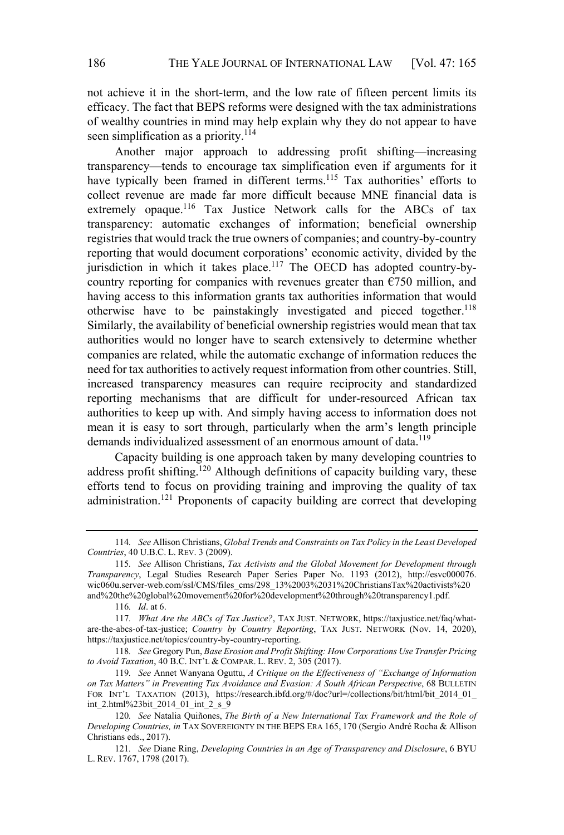not achieve it in the short-term, and the low rate of fifteen percent limits its efficacy. The fact that BEPS reforms were designed with the tax administrations of wealthy countries in mind may help explain why they do not appear to have seen simplification as a priority.<sup>114</sup>

Another major approach to addressing profit shifting—increasing transparency—tends to encourage tax simplification even if arguments for it have typically been framed in different terms.<sup>115</sup> Tax authorities' efforts to collect revenue are made far more difficult because MNE financial data is extremely opaque.<sup>116</sup> Tax Justice Network calls for the ABCs of tax transparency: automatic exchanges of information; beneficial ownership registries that would track the true owners of companies; and country-by-country reporting that would document corporations' economic activity, divided by the jurisdiction in which it takes place.<sup>117</sup> The OECD has adopted country-bycountry reporting for companies with revenues greater than  $\epsilon$ 750 million, and having access to this information grants tax authorities information that would otherwise have to be painstakingly investigated and pieced together.<sup>118</sup> Similarly, the availability of beneficial ownership registries would mean that tax authorities would no longer have to search extensively to determine whether companies are related, while the automatic exchange of information reduces the need for tax authorities to actively request information from other countries. Still, increased transparency measures can require reciprocity and standardized reporting mechanisms that are difficult for under-resourced African tax authorities to keep up with. And simply having access to information does not mean it is easy to sort through, particularly when the arm's length principle demands individualized assessment of an enormous amount of data.<sup>119</sup>

Capacity building is one approach taken by many developing countries to address profit shifting.<sup>120</sup> Although definitions of capacity building vary, these efforts tend to focus on providing training and improving the quality of tax administration.<sup>121</sup> Proponents of capacity building are correct that developing

<sup>114</sup>. See Allison Christians, Global Trends and Constraints on Tax Policy in the Least Developed Countries, 40 U.B.C. L. REV. 3 (2009).

<sup>115</sup>. See Allison Christians, Tax Activists and the Global Movement for Development through Transparency, Legal Studies Research Paper Series Paper No. 1193 (2012), http://esvc000076. wic060u.server-web.com/ssl/CMS/files\_cms/298\_13%2003%2031%20ChristiansTax%20activists%20 and%20the%20global%20movement%20for%20development%20through%20transparency1.pdf.

<sup>116</sup>. Id. at 6.

<sup>117</sup>. What Are the ABCs of Tax Justice?, TAX JUST. NETWORK, https://taxjustice.net/faq/whatare-the-abcs-of-tax-justice; Country by Country Reporting, TAX JUST. NETWORK (Nov. 14, 2020), https://taxjustice.net/topics/country-by-country-reporting.

<sup>118</sup>. See Gregory Pun, Base Erosion and Profit Shifting: How Corporations Use Transfer Pricing to Avoid Taxation, 40 B.C. INT'L & COMPAR. L. REV. 2, 305 (2017).

<sup>119.</sup> See Annet Wanyana Oguttu, A Critique on the Effectiveness of "Exchange of Information on Tax Matters" in Preventing Tax Avoidance and Evasion: A South African Perspective, 68 BULLETIN FOR INT'L TAXATION (2013), https://research.ibfd.org/#/doc?url=/collections/bit/html/bit\_2014\_01 int\_2.html%23bit\_2014\_01\_int\_2\_s\_9

<sup>120.</sup> See Natalia Quiñones, The Birth of a New International Tax Framework and the Role of Developing Countries, in TAX SOVEREIGNTY IN THE BEPS ERA 165, 170 (Sergio André Rocha & Allison Christians eds., 2017).

<sup>121</sup>. See Diane Ring, Developing Countries in an Age of Transparency and Disclosure, 6 BYU L. REV. 1767, 1798 (2017).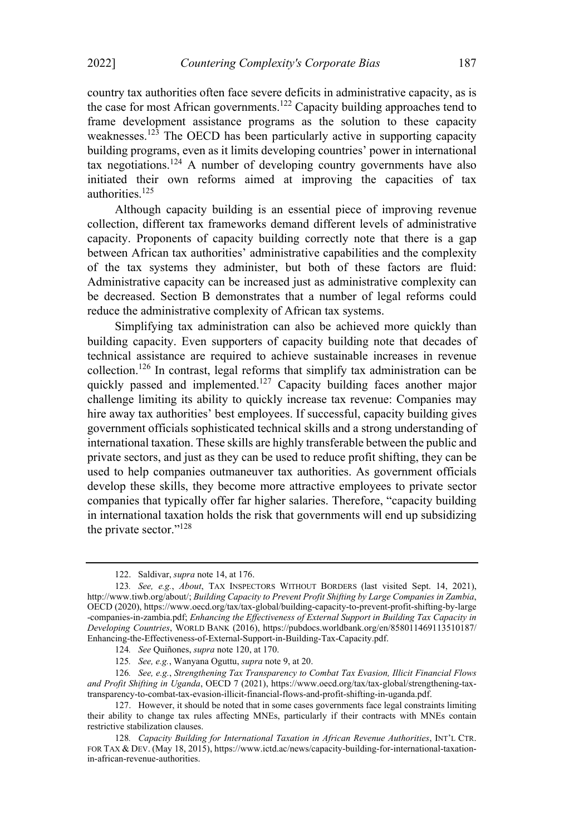country tax authorities often face severe deficits in administrative capacity, as is the case for most African governments.122 Capacity building approaches tend to frame development assistance programs as the solution to these capacity weaknesses.<sup>123</sup> The OECD has been particularly active in supporting capacity building programs, even as it limits developing countries' power in international tax negotiations.<sup>124</sup> A number of developing country governments have also initiated their own reforms aimed at improving the capacities of tax authorities. 125

Although capacity building is an essential piece of improving revenue collection, different tax frameworks demand different levels of administrative capacity. Proponents of capacity building correctly note that there is a gap between African tax authorities' administrative capabilities and the complexity of the tax systems they administer, but both of these factors are fluid: Administrative capacity can be increased just as administrative complexity can be decreased. Section B demonstrates that a number of legal reforms could reduce the administrative complexity of African tax systems.

Simplifying tax administration can also be achieved more quickly than building capacity. Even supporters of capacity building note that decades of technical assistance are required to achieve sustainable increases in revenue collection.126 In contrast, legal reforms that simplify tax administration can be quickly passed and implemented.<sup>127</sup> Capacity building faces another major challenge limiting its ability to quickly increase tax revenue: Companies may hire away tax authorities' best employees. If successful, capacity building gives government officials sophisticated technical skills and a strong understanding of international taxation. These skills are highly transferable between the public and private sectors, and just as they can be used to reduce profit shifting, they can be used to help companies outmaneuver tax authorities. As government officials develop these skills, they become more attractive employees to private sector companies that typically offer far higher salaries. Therefore, "capacity building in international taxation holds the risk that governments will end up subsidizing the private sector." $128$ 

<sup>122.</sup> Saldivar, supra note 14, at 176.

<sup>123</sup>. See, e.g., About, TAX INSPECTORS WITHOUT BORDERS (last visited Sept. 14, 2021), http://www.tiwb.org/about/; Building Capacity to Prevent Profit Shifting by Large Companies in Zambia, OECD (2020), https://www.oecd.org/tax/tax-global/building-capacity-to-prevent-profit-shifting-by-large -companies-in-zambia.pdf; Enhancing the Effectiveness of External Support in Building Tax Capacity in Developing Countries, WORLD BANK (2016), https://pubdocs.worldbank.org/en/858011469113510187/ Enhancing-the-Effectiveness-of-External-Support-in-Building-Tax-Capacity.pdf.

<sup>124</sup>. See Quiñones, supra note 120, at 170.

<sup>125</sup>. See, e.g., Wanyana Oguttu, supra note 9, at 20.

<sup>126</sup>. See, e.g., Strengthening Tax Transparency to Combat Tax Evasion, Illicit Financial Flows and Profit Shifting in Uganda, OECD 7 (2021), https://www.oecd.org/tax/tax-global/strengthening-taxtransparency-to-combat-tax-evasion-illicit-financial-flows-and-profit-shifting-in-uganda.pdf.

<sup>127.</sup> However, it should be noted that in some cases governments face legal constraints limiting their ability to change tax rules affecting MNEs, particularly if their contracts with MNEs contain restrictive stabilization clauses.

<sup>128.</sup> Capacity Building for International Taxation in African Revenue Authorities, INT'L CTR. FOR TAX & DEV. (May 18, 2015), https://www.ictd.ac/news/capacity-building-for-international-taxationin-african-revenue-authorities.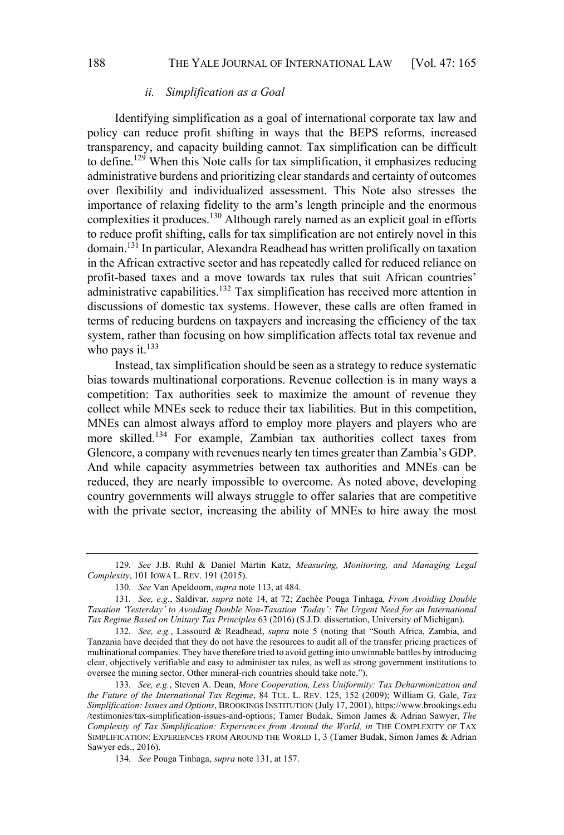#### ii. Simplification as a Goal

Identifying simplification as a goal of international corporate tax law and policy can reduce profit shifting in ways that the BEPS reforms, increased transparency, and capacity building cannot. Tax simplification can be difficult to define.129 When this Note calls for tax simplification, it emphasizes reducing administrative burdens and prioritizing clear standards and certainty of outcomes over flexibility and individualized assessment. This Note also stresses the importance of relaxing fidelity to the arm's length principle and the enormous complexities it produces.<sup>130</sup> Although rarely named as an explicit goal in efforts to reduce profit shifting, calls for tax simplification are not entirely novel in this domain.131 In particular, Alexandra Readhead has written prolifically on taxation in the African extractive sector and has repeatedly called for reduced reliance on profit-based taxes and a move towards tax rules that suit African countries administrative capabilities.132 Tax simplification has received more attention in discussions of domestic tax systems. However, these calls are often framed in terms of reducing burdens on taxpayers and increasing the efficiency of the tax system, rather than focusing on how simplification affects total tax revenue and who pays it. $^{133}$ 

Instead, tax simplification should be seen as a strategy to reduce systematic bias towards multinational corporations. Revenue collection is in many ways a competition: Tax authorities seek to maximize the amount of revenue they collect while MNEs seek to reduce their tax liabilities. But in this competition, MNEs can almost always afford to employ more players and players who are more skilled.134 For example, Zambian tax authorities collect taxes from Glencore, a company with revenues nearly ten times greater than Zambia's GDP. And while capacity asymmetries between tax authorities and MNEs can be reduced, they are nearly impossible to overcome. As noted above, developing country governments will always struggle to offer salaries that are competitive with the private sector, increasing the ability of MNEs to hire away the most

134. See Pouga Tinhaga, supra note 131, at 157.

<sup>129.</sup> See J.B. Ruhl & Daniel Martin Katz, Measuring, Monitoring, and Managing Legal Complexity, 101 IOWA L. REV. 191 (2015).

<sup>130</sup>. See Van Apeldoorn, supra note 113, at 484.

<sup>131</sup>. See, e.g., Saldivar, supra note 14, at 72; Zachée Pouga Tinhaga, From Avoiding Double Taxation 'Yesterday' to Avoiding Double Non-Taxation 'Today': The Urgent Need for an International Tax Regime Based on Unitary Tax Principles 63 (2016) (S.J.D. dissertation, University of Michigan).

<sup>132.</sup> See, e.g., Lassourd & Readhead, supra note 5 (noting that "South Africa, Zambia, and Tanzania have decided that they do not have the resources to audit all of the transfer pricing practices of multinational companies. They have therefore tried to avoid getting into unwinnable battles by introducing clear, objectively verifiable and easy to administer tax rules, as well as strong government institutions to oversee the mining sector. Other mineral-rich countries should take note.").

<sup>133</sup>. See, e.g., Steven A. Dean, More Cooperation, Less Uniformity: Tax Deharmonization and the Future of the International Tax Regime, 84 TUL. L. REV. 125, 152 (2009); William G. Gale, Tax Simplification: Issues and Options, BROOKINGS INSTITUTION (July 17, 2001), https://www.brookings.edu /testimonies/tax-simplification-issues-and-options; Tamer Budak, Simon James & Adrian Sawyer, The Complexity of Tax Simplification: Experiences from Around the World, in THE COMPLEXITY OF TAX SIMPLIFICATION: EXPERIENCES FROM AROUND THE WORLD 1, 3 (Tamer Budak, Simon James & Adrian Sawyer eds., 2016).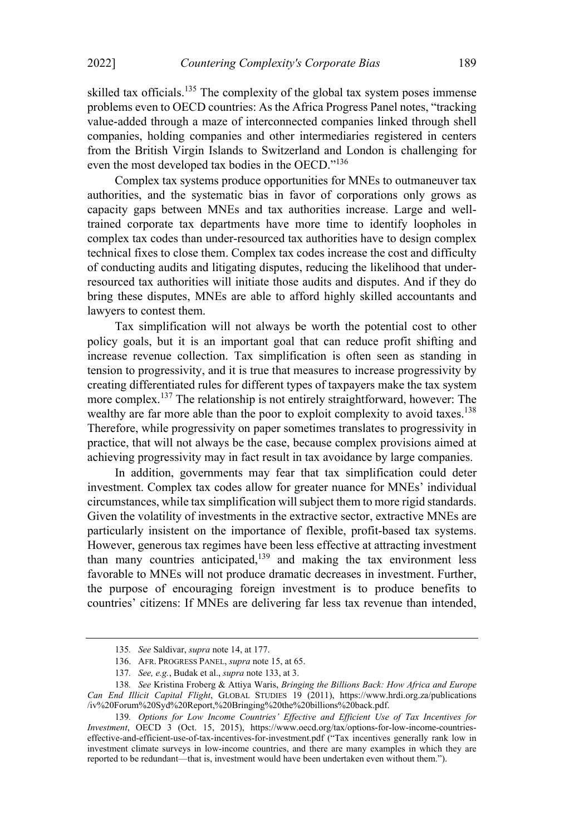skilled tax officials.<sup>135</sup> The complexity of the global tax system poses immense problems even to OECD countries: As the Africa Progress Panel notes, "tracking value-added through a maze of interconnected companies linked through shell companies, holding companies and other intermediaries registered in centers from the British Virgin Islands to Switzerland and London is challenging for even the most developed tax bodies in the OECD."<sup>136</sup>

Complex tax systems produce opportunities for MNEs to outmaneuver tax authorities, and the systematic bias in favor of corporations only grows as capacity gaps between MNEs and tax authorities increase. Large and welltrained corporate tax departments have more time to identify loopholes in complex tax codes than under-resourced tax authorities have to design complex technical fixes to close them. Complex tax codes increase the cost and difficulty of conducting audits and litigating disputes, reducing the likelihood that underresourced tax authorities will initiate those audits and disputes. And if they do bring these disputes, MNEs are able to afford highly skilled accountants and lawyers to contest them.

Tax simplification will not always be worth the potential cost to other policy goals, but it is an important goal that can reduce profit shifting and increase revenue collection. Tax simplification is often seen as standing in tension to progressivity, and it is true that measures to increase progressivity by creating differentiated rules for different types of taxpayers make the tax system more complex.<sup>137</sup> The relationship is not entirely straightforward, however: The wealthy are far more able than the poor to exploit complexity to avoid taxes.<sup>138</sup> Therefore, while progressivity on paper sometimes translates to progressivity in practice, that will not always be the case, because complex provisions aimed at achieving progressivity may in fact result in tax avoidance by large companies.

In addition, governments may fear that tax simplification could deter investment. Complex tax codes allow for greater nuance for MNEs' individual circumstances, while tax simplification willsubject them to more rigid standards. Given the volatility of investments in the extractive sector, extractive MNEs are particularly insistent on the importance of flexible, profit-based tax systems. However, generous tax regimes have been less effective at attracting investment than many countries anticipated,<sup>139</sup> and making the tax environment less favorable to MNEs will not produce dramatic decreases in investment. Further, the purpose of encouraging foreign investment is to produce benefits to countries' citizens: If MNEs are delivering far less tax revenue than intended,

<sup>135</sup>. See Saldivar, supra note 14, at 177.

<sup>136.</sup> AFR. PROGRESS PANEL, supra note 15, at 65.

<sup>137</sup>. See, e.g., Budak et al., supra note 133, at 3.

<sup>138.</sup> See Kristina Froberg & Attiya Waris, Bringing the Billions Back: How Africa and Europe Can End Illicit Capital Flight, GLOBAL STUDIES 19 (2011), https://www.hrdi.org.za/publications /iv%20Forum%20Syd%20Report,%20Bringing%20the%20billions%20back.pdf.

<sup>139.</sup> Options for Low Income Countries' Effective and Efficient Use of Tax Incentives for Investment, OECD 3 (Oct. 15, 2015), https://www.oecd.org/tax/options-for-low-income-countrieseffective-and-efficient-use-of-tax-incentives-for-investment.pdf (Tax incentives generally rank low in investment climate surveys in low-income countries, and there are many examples in which they are reported to be redundant—that is, investment would have been undertaken even without them.").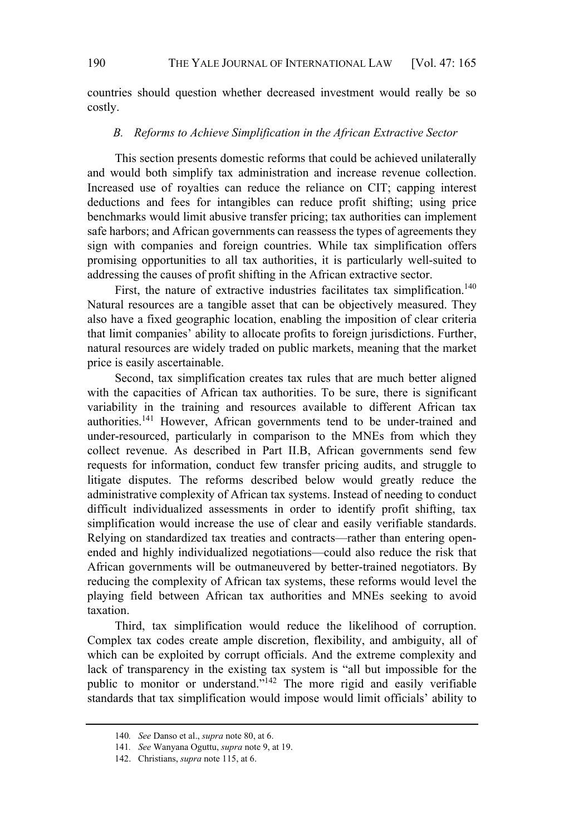countries should question whether decreased investment would really be so costly.

## B. Reforms to Achieve Simplification in the African Extractive Sector

This section presents domestic reforms that could be achieved unilaterally and would both simplify tax administration and increase revenue collection. Increased use of royalties can reduce the reliance on CIT; capping interest deductions and fees for intangibles can reduce profit shifting; using price benchmarks would limit abusive transfer pricing; tax authorities can implement safe harbors; and African governments can reassess the types of agreements they sign with companies and foreign countries. While tax simplification offers promising opportunities to all tax authorities, it is particularly well-suited to addressing the causes of profit shifting in the African extractive sector.

First, the nature of extractive industries facilitates tax simplification.<sup>140</sup> Natural resources are a tangible asset that can be objectively measured. They also have a fixed geographic location, enabling the imposition of clear criteria that limit companies' ability to allocate profits to foreign jurisdictions. Further, natural resources are widely traded on public markets, meaning that the market price is easily ascertainable.

Second, tax simplification creates tax rules that are much better aligned with the capacities of African tax authorities. To be sure, there is significant variability in the training and resources available to different African tax authorities.<sup>141</sup> However, African governments tend to be under-trained and under-resourced, particularly in comparison to the MNEs from which they collect revenue. As described in Part II.B, African governments send few requests for information, conduct few transfer pricing audits, and struggle to litigate disputes. The reforms described below would greatly reduce the administrative complexity of African tax systems. Instead of needing to conduct difficult individualized assessments in order to identify profit shifting, tax simplification would increase the use of clear and easily verifiable standards. Relying on standardized tax treaties and contracts—rather than entering openended and highly individualized negotiations—could also reduce the risk that African governments will be outmaneuvered by better-trained negotiators. By reducing the complexity of African tax systems, these reforms would level the playing field between African tax authorities and MNEs seeking to avoid taxation.

Third, tax simplification would reduce the likelihood of corruption. Complex tax codes create ample discretion, flexibility, and ambiguity, all of which can be exploited by corrupt officials. And the extreme complexity and lack of transparency in the existing tax system is "all but impossible for the public to monitor or understand." $142$  The more rigid and easily verifiable standards that tax simplification would impose would limit officials' ability to

<sup>140.</sup> See Danso et al., supra note 80, at 6.

<sup>141</sup>. See Wanyana Oguttu, supra note 9, at 19.

<sup>142.</sup> Christians, supra note 115, at 6.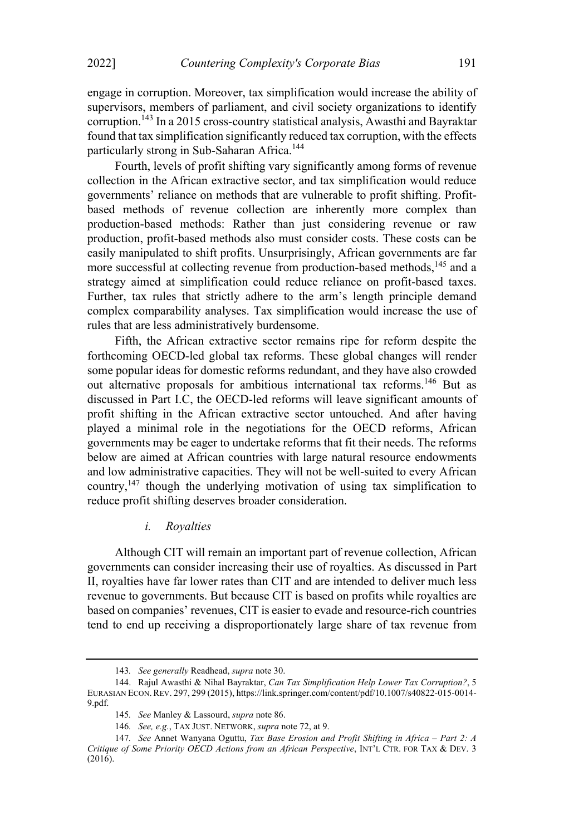engage in corruption. Moreover, tax simplification would increase the ability of supervisors, members of parliament, and civil society organizations to identify corruption. <sup>143</sup> In a 2015 cross-country statistical analysis, Awasthi and Bayraktar found that tax simplification significantly reduced tax corruption, with the effects particularly strong in Sub-Saharan Africa.<sup>144</sup>

Fourth, levels of profit shifting vary significantly among forms of revenue collection in the African extractive sector, and tax simplification would reduce governments' reliance on methods that are vulnerable to profit shifting. Profitbased methods of revenue collection are inherently more complex than production-based methods: Rather than just considering revenue or raw production, profit-based methods also must consider costs. These costs can be easily manipulated to shift profits. Unsurprisingly, African governments are far more successful at collecting revenue from production-based methods,<sup>145</sup> and a strategy aimed at simplification could reduce reliance on profit-based taxes. Further, tax rules that strictly adhere to the arm's length principle demand complex comparability analyses. Tax simplification would increase the use of rules that are less administratively burdensome.

Fifth, the African extractive sector remains ripe for reform despite the forthcoming OECD-led global tax reforms. These global changes will render some popular ideas for domestic reforms redundant, and they have also crowded out alternative proposals for ambitious international tax reforms.<sup>146</sup> But as discussed in Part I.C, the OECD-led reforms will leave significant amounts of profit shifting in the African extractive sector untouched. And after having played a minimal role in the negotiations for the OECD reforms, African governments may be eager to undertake reforms that fit their needs. The reforms below are aimed at African countries with large natural resource endowments and low administrative capacities. They will not be well-suited to every African country,147 though the underlying motivation of using tax simplification to reduce profit shifting deserves broader consideration.

#### i. Royalties

Although CIT will remain an important part of revenue collection, African governments can consider increasing their use of royalties. As discussed in Part II, royalties have far lower rates than CIT and are intended to deliver much less revenue to governments. But because CIT is based on profits while royalties are based on companies' revenues, CIT is easier to evade and resource-rich countries tend to end up receiving a disproportionately large share of tax revenue from

<sup>143.</sup> See generally Readhead, supra note 30.

<sup>144.</sup> Rajul Awasthi & Nihal Bayraktar, Can Tax Simplification Help Lower Tax Corruption?, 5 EURASIAN ECON.REV. 297, 299 (2015), https://link.springer.com/content/pdf/10.1007/s40822-015-0014- 9.pdf.

<sup>145.</sup> See Manley & Lassourd, supra note 86.

<sup>146</sup>. See, e.g., TAX JUST. NETWORK, supra note 72, at 9.

<sup>147.</sup> See Annet Wanyana Oguttu, Tax Base Erosion and Profit Shifting in Africa  $-$  Part 2: A Critique of Some Priority OECD Actions from an African Perspective, INT'L CTR. FOR TAX & DEV. 3 (2016).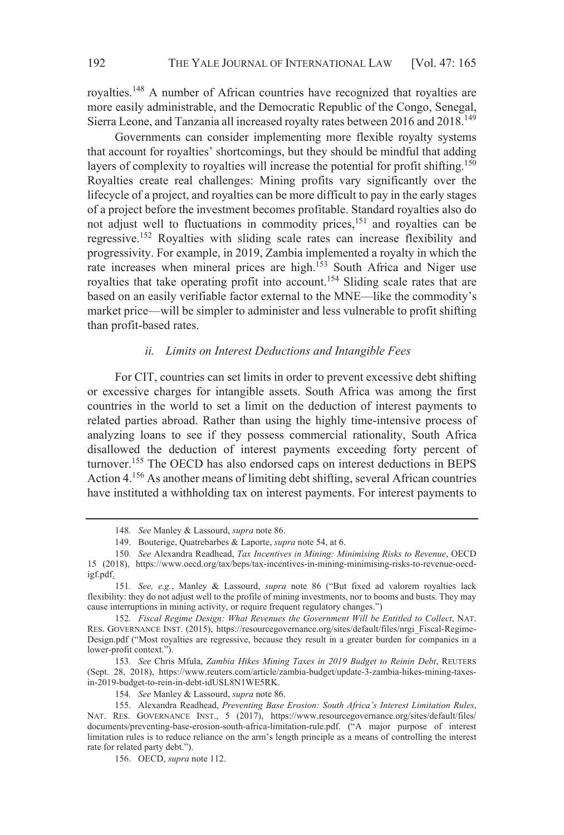royalties.<sup>148</sup> A number of African countries have recognized that royalties are more easily administrable, and the Democratic Republic of the Congo, Senegal, Sierra Leone, and Tanzania all increased royalty rates between 2016 and 2018.149

Governments can consider implementing more flexible royalty systems that account for royalties' shortcomings, but they should be mindful that adding layers of complexity to royalties will increase the potential for profit shifting.<sup>150</sup> Royalties create real challenges: Mining profits vary significantly over the lifecycle of a project, and royalties can be more difficult to pay in the early stages of a project before the investment becomes profitable. Standard royalties also do not adjust well to fluctuations in commodity prices,<sup>151</sup> and royalties can be regressive.152 Royalties with sliding scale rates can increase flexibility and progressivity. For example, in 2019, Zambia implemented a royalty in which the rate increases when mineral prices are high.<sup>153</sup> South Africa and Niger use royalties that take operating profit into account.<sup>154</sup> Sliding scale rates that are based on an easily verifiable factor external to the MNE—like the commodity's market price—will be simpler to administer and less vulnerable to profit shifting than profit-based rates.

## ii. Limits on Interest Deductions and Intangible Fees

For CIT, countries can set limits in order to prevent excessive debt shifting or excessive charges for intangible assets. South Africa was among the first countries in the world to set a limit on the deduction of interest payments to related parties abroad. Rather than using the highly time-intensive process of analyzing loans to see if they possess commercial rationality, South Africa disallowed the deduction of interest payments exceeding forty percent of turnover.155 The OECD has also endorsed caps on interest deductions in BEPS Action 4.156 As another means of limiting debt shifting, several African countries have instituted a withholding tax on interest payments. For interest payments to

<sup>148.</sup> See Manley & Lassourd, supra note 86.

<sup>149.</sup> Bouterige, Quatrebarbes & Laporte, supra note 54, at 6.

<sup>150</sup>. See Alexandra Readhead, Tax Incentives in Mining: Minimising Risks to Revenue, OECD 15 (2018), https://www.oecd.org/tax/beps/tax-incentives-in-mining-minimising-risks-to-revenue-oecdigf.pdf.

<sup>151.</sup> See, e.g., Manley & Lassourd, supra note 86 ("But fixed ad valorem royalties lack flexibility: they do not adjust well to the profile of mining investments, nor to booms and busts. They may cause interruptions in mining activity, or require frequent regulatory changes.")

<sup>152</sup>. Fiscal Regime Design: What Revenues the Government Will be Entitled to Collect, NAT. RES. GOVERNANCE INST. (2015), https://resourcegovernance.org/sites/default/files/nrgi\_Fiscal-Regime-Design.pdf ("Most royalties are regressive, because they result in a greater burden for companies in a lower-profit context.").

<sup>153</sup>. See Chris Mfula, Zambia Hikes Mining Taxes in 2019 Budget to Reinin Debt, REUTERS (Sept. 28, 2018), https://www.reuters.com/article/zambia-budget/update-3-zambia-hikes-mining-taxesin-2019-budget-to-rein-in-debt-idUSL8N1WE5RK.

<sup>154</sup>. See Manley & Lassourd, supra note 86.

<sup>155.</sup> Alexandra Readhead, Preventing Base Erosion: South Africa's Interest Limitation Rules, NAT. RES. GOVERNANCE INST., 5 (2017), https://www.resourcegovernance.org/sites/default/files/ documents/preventing-base-erosion-south-africa-limitation-rule.pdf. ("A major purpose of interest limitation rules is to reduce reliance on the arms length principle as a means of controlling the interest rate for related party debt.").

<sup>156.</sup> OECD, supra note 112.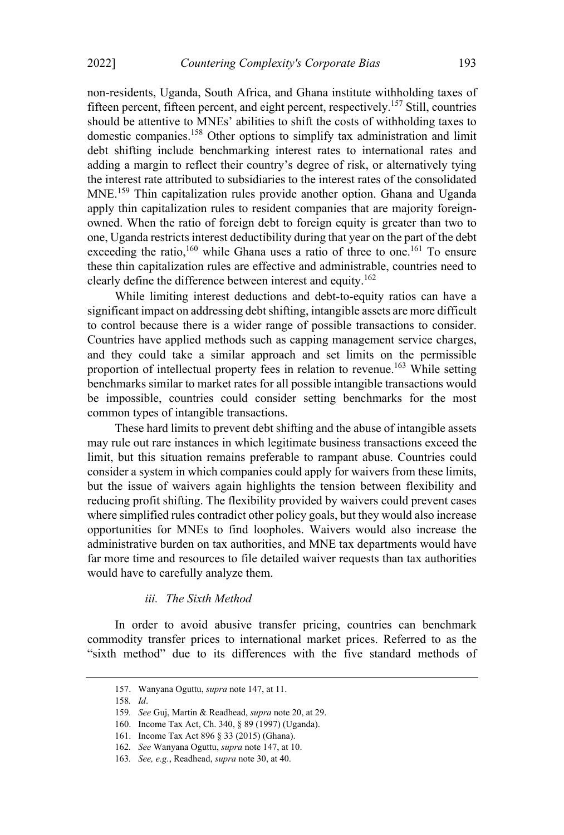2022] Countering Complexity's Corporate Bias 193

non-residents, Uganda, South Africa, and Ghana institute withholding taxes of fifteen percent, fifteen percent, and eight percent, respectively.<sup>157</sup> Still, countries should be attentive to MNEs' abilities to shift the costs of withholding taxes to domestic companies.158 Other options to simplify tax administration and limit debt shifting include benchmarking interest rates to international rates and adding a margin to reflect their country's degree of risk, or alternatively tying the interest rate attributed to subsidiaries to the interest rates of the consolidated MNE.<sup>159</sup> Thin capitalization rules provide another option. Ghana and Uganda apply thin capitalization rules to resident companies that are majority foreignowned. When the ratio of foreign debt to foreign equity is greater than two to one, Uganda restricts interest deductibility during that year on the part of the debt exceeding the ratio,<sup>160</sup> while Ghana uses a ratio of three to one.<sup>161</sup> To ensure these thin capitalization rules are effective and administrable, countries need to clearly define the difference between interest and equity.<sup>162</sup>

While limiting interest deductions and debt-to-equity ratios can have a significant impact on addressing debt shifting, intangible assets are more difficult to control because there is a wider range of possible transactions to consider. Countries have applied methods such as capping management service charges, and they could take a similar approach and set limits on the permissible proportion of intellectual property fees in relation to revenue.<sup>163</sup> While setting benchmarks similar to market rates for all possible intangible transactions would be impossible, countries could consider setting benchmarks for the most common types of intangible transactions.

These hard limits to prevent debt shifting and the abuse of intangible assets may rule out rare instances in which legitimate business transactions exceed the limit, but this situation remains preferable to rampant abuse. Countries could consider a system in which companies could apply for waivers from these limits, but the issue of waivers again highlights the tension between flexibility and reducing profit shifting. The flexibility provided by waivers could prevent cases where simplified rules contradict other policy goals, but they would also increase opportunities for MNEs to find loopholes. Waivers would also increase the administrative burden on tax authorities, and MNE tax departments would have far more time and resources to file detailed waiver requests than tax authorities would have to carefully analyze them.

#### iii. The Sixth Method

In order to avoid abusive transfer pricing, countries can benchmark commodity transfer prices to international market prices. Referred to as the "sixth method" due to its differences with the five standard methods of

<sup>157.</sup> Wanyana Oguttu, supra note 147, at 11.

<sup>158</sup>. Id.

<sup>159</sup>. See Guj, Martin & Readhead, supra note 20, at 29.

<sup>160.</sup> Income Tax Act, Ch. 340, § 89 (1997) (Uganda).

<sup>161.</sup> Income Tax Act 896 § 33 (2015) (Ghana).

<sup>162</sup>. See Wanyana Oguttu, supra note 147, at 10.

<sup>163</sup>. See, e.g., Readhead, supra note 30, at 40.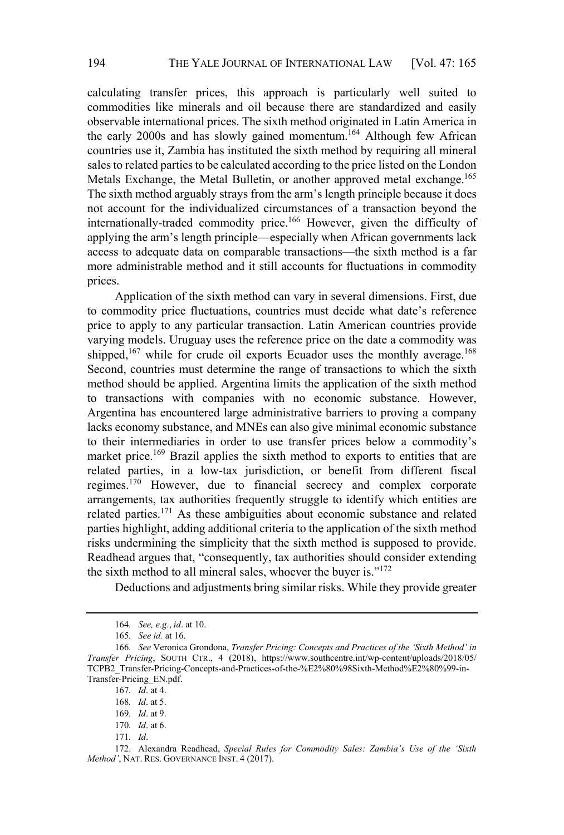calculating transfer prices, this approach is particularly well suited to commodities like minerals and oil because there are standardized and easily observable international prices. The sixth method originated in Latin America in the early 2000s and has slowly gained momentum.<sup>164</sup> Although few African countries use it, Zambia has instituted the sixth method by requiring all mineral sales to related parties to be calculated according to the price listed on the London Metals Exchange, the Metal Bulletin, or another approved metal exchange.<sup>165</sup> The sixth method arguably strays from the arm's length principle because it does not account for the individualized circumstances of a transaction beyond the internationally-traded commodity price.166 However, given the difficulty of applying the arm's length principle—especially when African governments lack access to adequate data on comparable transactions—the sixth method is a far more administrable method and it still accounts for fluctuations in commodity prices.

Application of the sixth method can vary in several dimensions. First, due to commodity price fluctuations, countries must decide what date's reference price to apply to any particular transaction. Latin American countries provide varying models. Uruguay uses the reference price on the date a commodity was shipped,  $167$  while for crude oil exports Ecuador uses the monthly average.  $168$ Second, countries must determine the range of transactions to which the sixth method should be applied. Argentina limits the application of the sixth method to transactions with companies with no economic substance. However, Argentina has encountered large administrative barriers to proving a company lacks economy substance, and MNEs can also give minimal economic substance to their intermediaries in order to use transfer prices below a commodity's market price.<sup>169</sup> Brazil applies the sixth method to exports to entities that are related parties, in a low-tax jurisdiction, or benefit from different fiscal regimes.170 However, due to financial secrecy and complex corporate arrangements, tax authorities frequently struggle to identify which entities are related parties.<sup>171</sup> As these ambiguities about economic substance and related parties highlight, adding additional criteria to the application of the sixth method risks undermining the simplicity that the sixth method is supposed to provide. Readhead argues that, "consequently, tax authorities should consider extending the sixth method to all mineral sales, whoever the buyer is. $172$ 

Deductions and adjustments bring similar risks. While they provide greater

171. Id.

<sup>164</sup>. See, e.g., id. at 10.

<sup>165</sup>. See id. at 16.

<sup>166.</sup> See Veronica Grondona, Transfer Pricing: Concepts and Practices of the 'Sixth Method' in Transfer Pricing, SOUTH CTR., 4 (2018), https://www.southcentre.int/wp-content/uploads/2018/05/ TCPB2\_Transfer-Pricing-Concepts-and-Practices-of-the-%E2%80%98Sixth-Method%E2%80%99-in-Transfer-Pricing\_EN.pdf.

<sup>167</sup>. Id. at 4.

<sup>168</sup>. Id. at 5.

<sup>169</sup>. Id. at 9.

<sup>170</sup>. Id. at 6.

<sup>172.</sup> Alexandra Readhead, Special Rules for Commodity Sales: Zambia's Use of the 'Sixth Method', NAT. RES. GOVERNANCE INST. 4 (2017).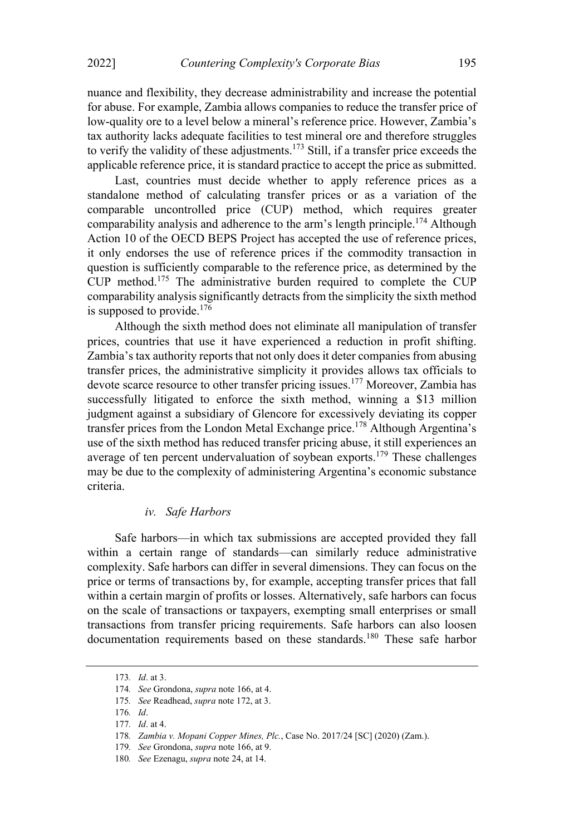nuance and flexibility, they decrease administrability and increase the potential for abuse. For example, Zambia allows companies to reduce the transfer price of low-quality ore to a level below a mineral's reference price. However, Zambia's tax authority lacks adequate facilities to test mineral ore and therefore struggles to verify the validity of these adjustments.<sup>173</sup> Still, if a transfer price exceeds the applicable reference price, it is standard practice to accept the price as submitted.

Last, countries must decide whether to apply reference prices as a standalone method of calculating transfer prices or as a variation of the comparable uncontrolled price (CUP) method, which requires greater comparability analysis and adherence to the arm's length principle.<sup>174</sup> Although Action 10 of the OECD BEPS Project has accepted the use of reference prices, it only endorses the use of reference prices if the commodity transaction in question is sufficiently comparable to the reference price, as determined by the CUP method.175 The administrative burden required to complete the CUP comparability analysis significantly detracts from the simplicity the sixth method is supposed to provide.<sup>176</sup>

Although the sixth method does not eliminate all manipulation of transfer prices, countries that use it have experienced a reduction in profit shifting. Zambia's tax authority reports that not only does it deter companies from abusing transfer prices, the administrative simplicity it provides allows tax officials to devote scarce resource to other transfer pricing issues.<sup>177</sup> Moreover, Zambia has successfully litigated to enforce the sixth method, winning a \$13 million judgment against a subsidiary of Glencore for excessively deviating its copper transfer prices from the London Metal Exchange price.<sup>178</sup> Although Argentina's use of the sixth method has reduced transfer pricing abuse, it still experiences an average of ten percent undervaluation of soybean exports.179 These challenges may be due to the complexity of administering Argentina's economic substance criteria.

#### iv. Safe Harbors

Safe harbors—in which tax submissions are accepted provided they fall within a certain range of standards—can similarly reduce administrative complexity. Safe harbors can differ in several dimensions. They can focus on the price or terms of transactions by, for example, accepting transfer prices that fall within a certain margin of profits or losses. Alternatively, safe harbors can focus on the scale of transactions or taxpayers, exempting small enterprises or small transactions from transfer pricing requirements. Safe harbors can also loosen documentation requirements based on these standards.<sup>180</sup> These safe harbor

<sup>173</sup>. Id. at 3.

<sup>174</sup>. See Grondona, supra note 166, at 4.

<sup>175</sup>. See Readhead, supra note 172, at 3.

<sup>176</sup>. Id.

<sup>177</sup>. Id. at 4.

<sup>178</sup>. Zambia v. Mopani Copper Mines, Plc., Case No. 2017/24 [SC] (2020) (Zam.).

<sup>179</sup>. See Grondona, supra note 166, at 9.

<sup>180</sup>. See Ezenagu, supra note 24, at 14.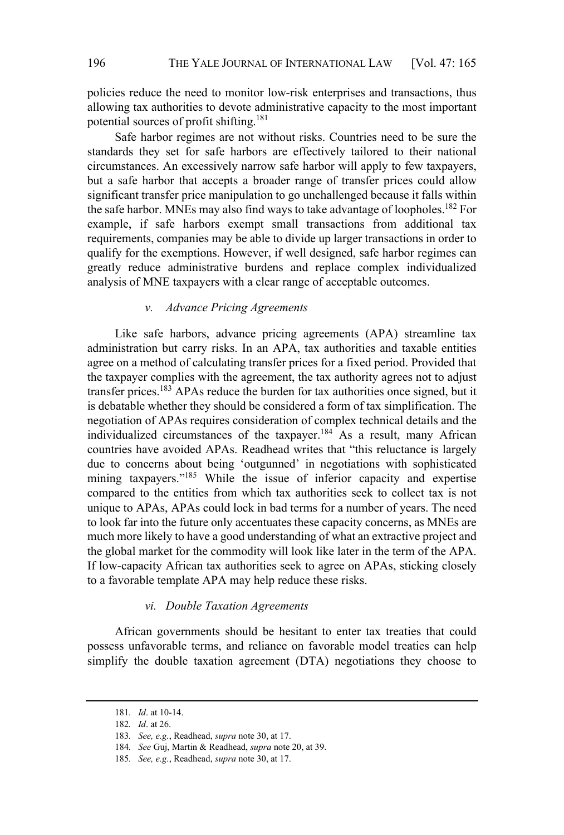policies reduce the need to monitor low-risk enterprises and transactions, thus allowing tax authorities to devote administrative capacity to the most important potential sources of profit shifting. 181

Safe harbor regimes are not without risks. Countries need to be sure the standards they set for safe harbors are effectively tailored to their national circumstances. An excessively narrow safe harbor will apply to few taxpayers, but a safe harbor that accepts a broader range of transfer prices could allow significant transfer price manipulation to go unchallenged because it falls within the safe harbor. MNEs may also find ways to take advantage of loopholes.<sup>182</sup> For example, if safe harbors exempt small transactions from additional tax requirements, companies may be able to divide up larger transactions in order to qualify for the exemptions. However, if well designed, safe harbor regimes can greatly reduce administrative burdens and replace complex individualized analysis of MNE taxpayers with a clear range of acceptable outcomes.

#### v. Advance Pricing Agreements

Like safe harbors, advance pricing agreements (APA) streamline tax administration but carry risks. In an APA, tax authorities and taxable entities agree on a method of calculating transfer prices for a fixed period. Provided that the taxpayer complies with the agreement, the tax authority agrees not to adjust transfer prices.<sup>183</sup> APAs reduce the burden for tax authorities once signed, but it is debatable whether they should be considered a form of tax simplification. The negotiation of APAs requires consideration of complex technical details and the individualized circumstances of the taxpayer.<sup>184</sup> As a result, many African countries have avoided APAs. Readhead writes that "this reluctance is largely due to concerns about being 'outgunned' in negotiations with sophisticated mining taxpayers."<sup>185</sup> While the issue of inferior capacity and expertise compared to the entities from which tax authorities seek to collect tax is not unique to APAs, APAs could lock in bad terms for a number of years. The need to look far into the future only accentuates these capacity concerns, as MNEs are much more likely to have a good understanding of what an extractive project and the global market for the commodity will look like later in the term of the APA. If low-capacity African tax authorities seek to agree on APAs, sticking closely to a favorable template APA may help reduce these risks.

#### vi. Double Taxation Agreements

African governments should be hesitant to enter tax treaties that could possess unfavorable terms, and reliance on favorable model treaties can help simplify the double taxation agreement (DTA) negotiations they choose to

<sup>181</sup>. Id. at 10-14.

<sup>182</sup>. Id. at 26.

<sup>183</sup>. See, e.g., Readhead, supra note 30, at 17.

<sup>184</sup>. See Guj, Martin & Readhead, supra note 20, at 39.

<sup>185</sup>. See, e.g., Readhead, supra note 30, at 17.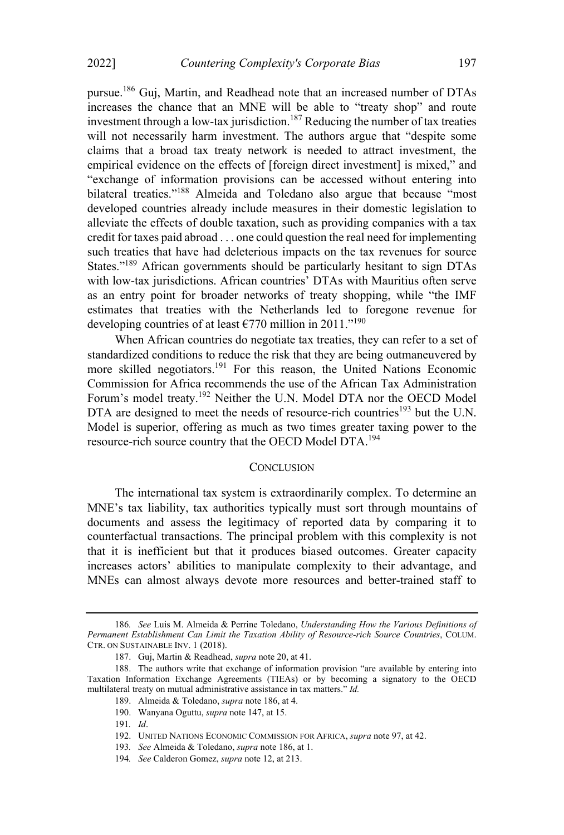pursue.<sup>186</sup> Guj, Martin, and Readhead note that an increased number of DTAs increases the chance that an MNE will be able to "treaty shop" and route investment through a low-tax jurisdiction.187 Reducing the number of tax treaties will not necessarily harm investment. The authors argue that "despite some claims that a broad tax treaty network is needed to attract investment, the empirical evidence on the effects of [foreign direct investment] is mixed," and exchange of information provisions can be accessed without entering into bilateral treaties."<sup>188</sup> Almeida and Toledano also argue that because "most developed countries already include measures in their domestic legislation to alleviate the effects of double taxation, such as providing companies with a tax credit for taxes paid abroad . . . one could question the real need for implementing such treaties that have had deleterious impacts on the tax revenues for source States."<sup>189</sup> African governments should be particularly hesitant to sign DTAs with low-tax jurisdictions. African countries' DTAs with Mauritius often serve as an entry point for broader networks of treaty shopping, while "the IMF estimates that treaties with the Netherlands led to foregone revenue for developing countries of at least  $\epsilon$ 770 million in 2011."<sup>190</sup>

When African countries do negotiate tax treaties, they can refer to a set of standardized conditions to reduce the risk that they are being outmaneuvered by more skilled negotiators.<sup>191</sup> For this reason, the United Nations Economic Commission for Africa recommends the use of the African Tax Administration Forum's model treaty.<sup>192</sup> Neither the U.N. Model DTA nor the OECD Model DTA are designed to meet the needs of resource-rich countries<sup>193</sup> but the U.N. Model is superior, offering as much as two times greater taxing power to the resource-rich source country that the OECD Model DTA. 194

#### **CONCLUSION**

The international tax system is extraordinarily complex. To determine an MNE's tax liability, tax authorities typically must sort through mountains of documents and assess the legitimacy of reported data by comparing it to counterfactual transactions. The principal problem with this complexity is not that it is inefficient but that it produces biased outcomes. Greater capacity increases actors' abilities to manipulate complexity to their advantage, and MNEs can almost always devote more resources and better-trained staff to

<sup>186</sup>. See Luis M. Almeida & Perrine Toledano, Understanding How the Various Definitions of Permanent Establishment Can Limit the Taxation Ability of Resource-rich Source Countries, COLUM. CTR. ON SUSTAINABLE INV. 1 (2018).

<sup>187.</sup> Guj, Martin & Readhead, supra note 20, at 41.

<sup>188.</sup> The authors write that exchange of information provision "are available by entering into Taxation Information Exchange Agreements (TIEAs) or by becoming a signatory to the OECD multilateral treaty on mutual administrative assistance in tax matters."  $Id$ .

<sup>189.</sup> Almeida & Toledano, supra note 186, at 4.

<sup>190.</sup> Wanyana Oguttu, supra note 147, at 15.

<sup>191</sup>. Id.

<sup>192.</sup> UNITED NATIONS ECONOMIC COMMISSION FOR AFRICA, supra note 97, at 42.

<sup>193</sup>. See Almeida & Toledano, supra note 186, at 1.

<sup>194</sup>. See Calderon Gomez, supra note 12, at 213.